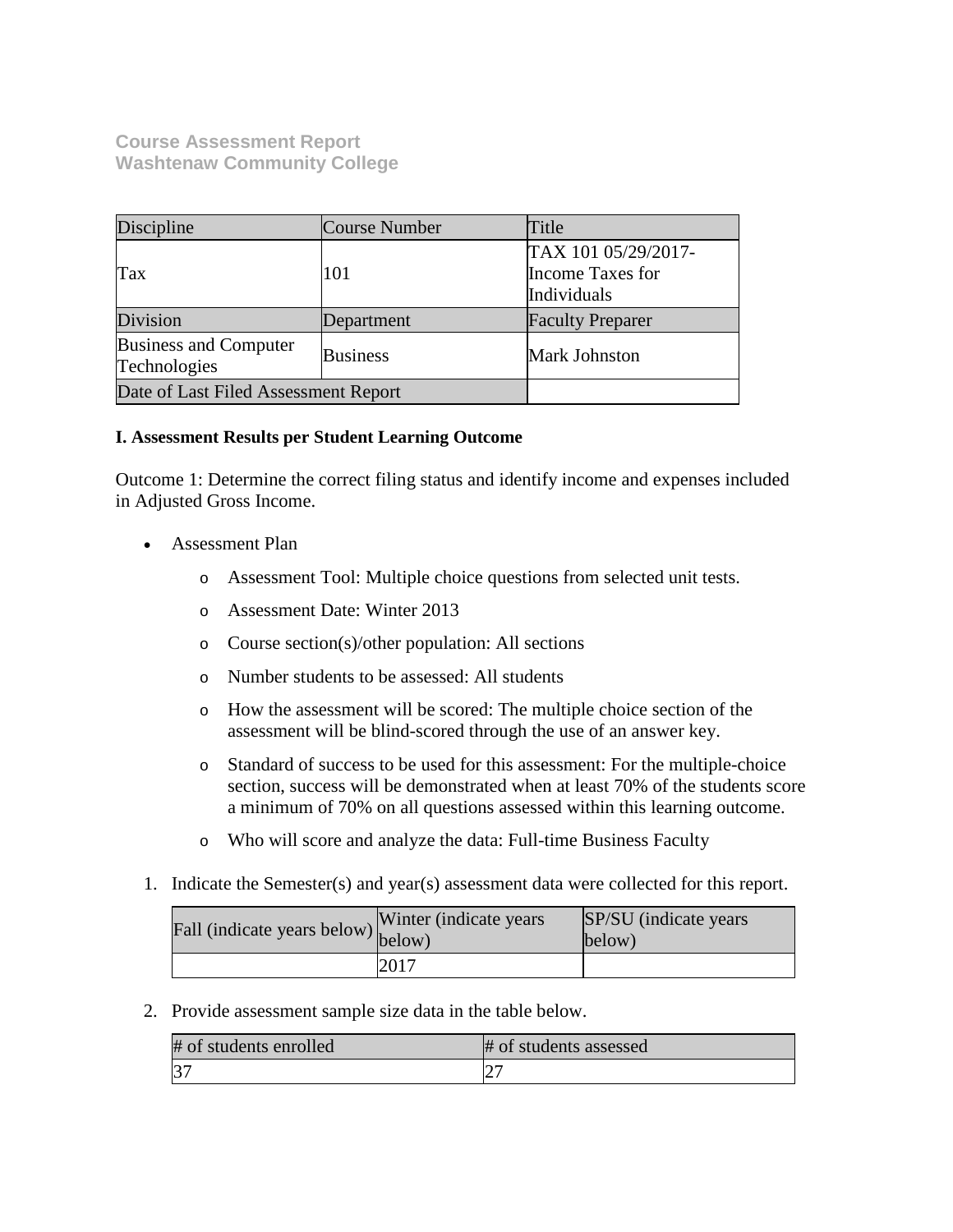**Course Assessment Report Washtenaw Community College**

| Discipline                            | Course Number   | Title                                                  |
|---------------------------------------|-----------------|--------------------------------------------------------|
| Tax                                   | 101             | TAX 101 05/29/2017-<br>Income Taxes for<br>Individuals |
| Division                              | Department      | <b>Faculty Preparer</b>                                |
| Business and Computer<br>Technologies | <b>Business</b> | <b>Mark Johnston</b>                                   |
| Date of Last Filed Assessment Report  |                 |                                                        |

### **I. Assessment Results per Student Learning Outcome**

Outcome 1: Determine the correct filing status and identify income and expenses included in Adjusted Gross Income.

- Assessment Plan
	- o Assessment Tool: Multiple choice questions from selected unit tests.
	- o Assessment Date: Winter 2013
	- o Course section(s)/other population: All sections
	- o Number students to be assessed: All students
	- o How the assessment will be scored: The multiple choice section of the assessment will be blind-scored through the use of an answer key.
	- o Standard of success to be used for this assessment: For the multiple-choice section, success will be demonstrated when at least 70% of the students score a minimum of 70% on all questions assessed within this learning outcome.
	- o Who will score and analyze the data: Full-time Business Faculty
- 1. Indicate the Semester(s) and year(s) assessment data were collected for this report.

| Fall (indicate years below) below) | Winter (indicate years) | SP/SU (indicate years)<br>below) |
|------------------------------------|-------------------------|----------------------------------|
|                                    | 2017                    |                                  |

2. Provide assessment sample size data in the table below.

| # of students enrolled | # of students assessed |
|------------------------|------------------------|
| $ 3-$                  |                        |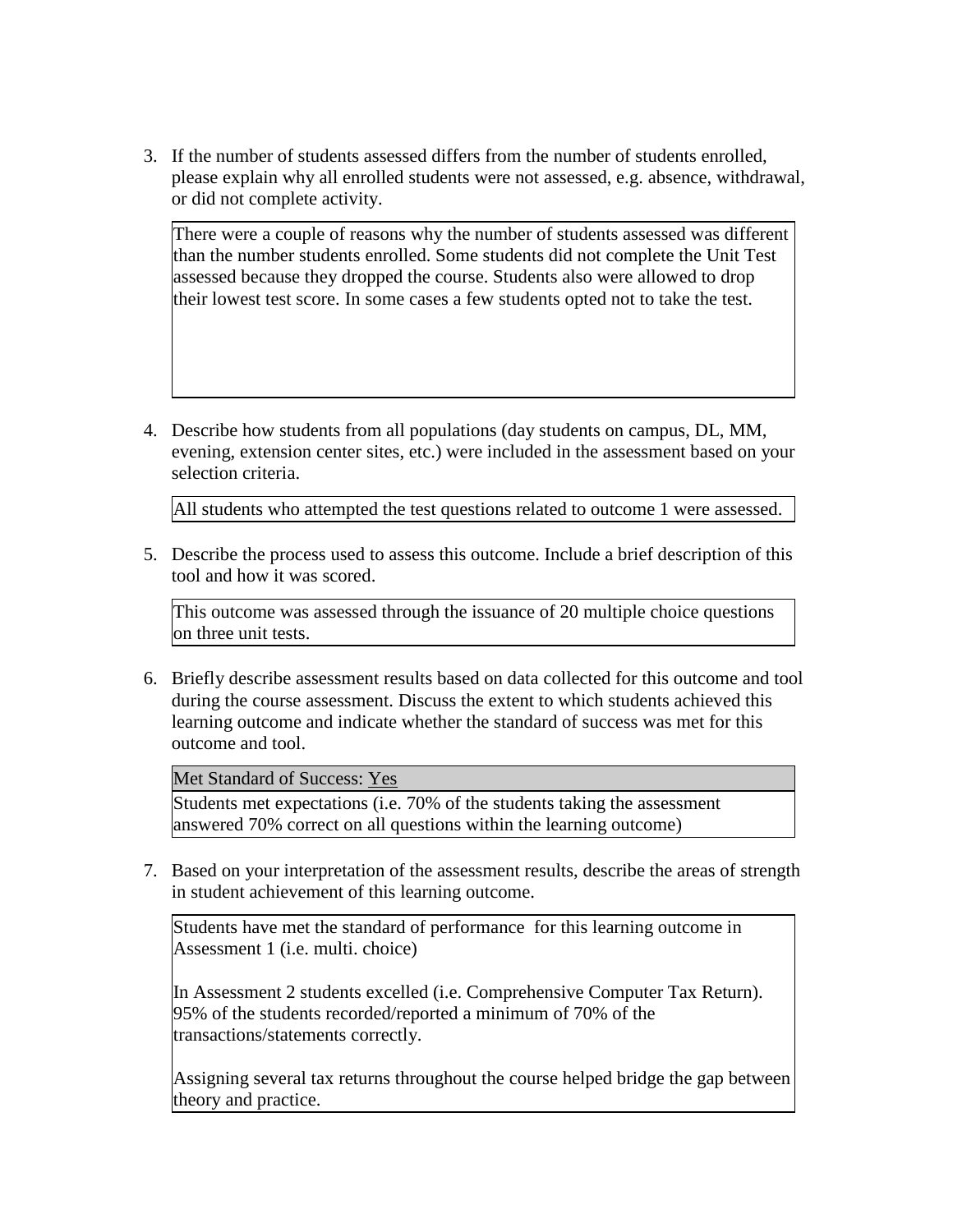3. If the number of students assessed differs from the number of students enrolled, please explain why all enrolled students were not assessed, e.g. absence, withdrawal, or did not complete activity.

There were a couple of reasons why the number of students assessed was different than the number students enrolled. Some students did not complete the Unit Test assessed because they dropped the course. Students also were allowed to drop their lowest test score. In some cases a few students opted not to take the test.

4. Describe how students from all populations (day students on campus, DL, MM, evening, extension center sites, etc.) were included in the assessment based on your selection criteria.

All students who attempted the test questions related to outcome 1 were assessed.

5. Describe the process used to assess this outcome. Include a brief description of this tool and how it was scored.

This outcome was assessed through the issuance of 20 multiple choice questions on three unit tests.

6. Briefly describe assessment results based on data collected for this outcome and tool during the course assessment. Discuss the extent to which students achieved this learning outcome and indicate whether the standard of success was met for this outcome and tool.

Met Standard of Success: Yes

Students met expectations (i.e. 70% of the students taking the assessment answered 70% correct on all questions within the learning outcome)

7. Based on your interpretation of the assessment results, describe the areas of strength in student achievement of this learning outcome.

Students have met the standard of performance for this learning outcome in Assessment 1 (i.e. multi. choice)

In Assessment 2 students excelled (i.e. Comprehensive Computer Tax Return). 95% of the students recorded/reported a minimum of 70% of the transactions/statements correctly.

Assigning several tax returns throughout the course helped bridge the gap between theory and practice.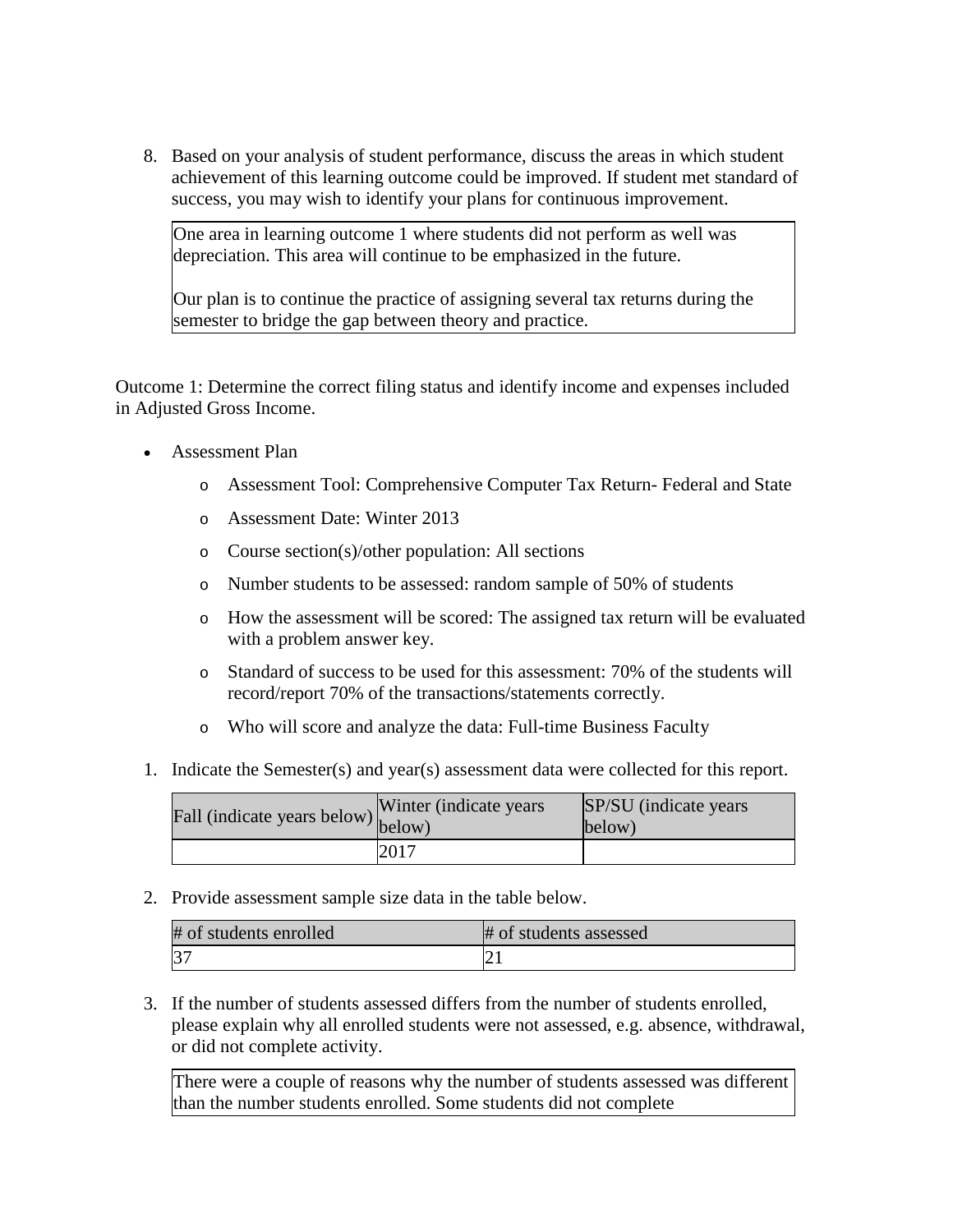8. Based on your analysis of student performance, discuss the areas in which student achievement of this learning outcome could be improved. If student met standard of success, you may wish to identify your plans for continuous improvement.

One area in learning outcome 1 where students did not perform as well was depreciation. This area will continue to be emphasized in the future.

Our plan is to continue the practice of assigning several tax returns during the semester to bridge the gap between theory and practice.

Outcome 1: Determine the correct filing status and identify income and expenses included in Adjusted Gross Income.

- Assessment Plan
	- o Assessment Tool: Comprehensive Computer Tax Return- Federal and State
	- o Assessment Date: Winter 2013
	- o Course section(s)/other population: All sections
	- o Number students to be assessed: random sample of 50% of students
	- o How the assessment will be scored: The assigned tax return will be evaluated with a problem answer key.
	- o Standard of success to be used for this assessment: 70% of the students will record/report 70% of the transactions/statements correctly.
	- o Who will score and analyze the data: Full-time Business Faculty
- 1. Indicate the Semester(s) and year(s) assessment data were collected for this report.

| Fall (indicate years below) $\begin{bmatrix} w \text{ inter} \\ below \end{bmatrix}$ | Winter (indicate years) | SP/SU (indicate years)<br>below) |
|--------------------------------------------------------------------------------------|-------------------------|----------------------------------|
|                                                                                      | 2017                    |                                  |

2. Provide assessment sample size data in the table below.

| # of students enrolled | # of students assessed |
|------------------------|------------------------|
| 37                     |                        |

3. If the number of students assessed differs from the number of students enrolled, please explain why all enrolled students were not assessed, e.g. absence, withdrawal, or did not complete activity.

There were a couple of reasons why the number of students assessed was different than the number students enrolled. Some students did not complete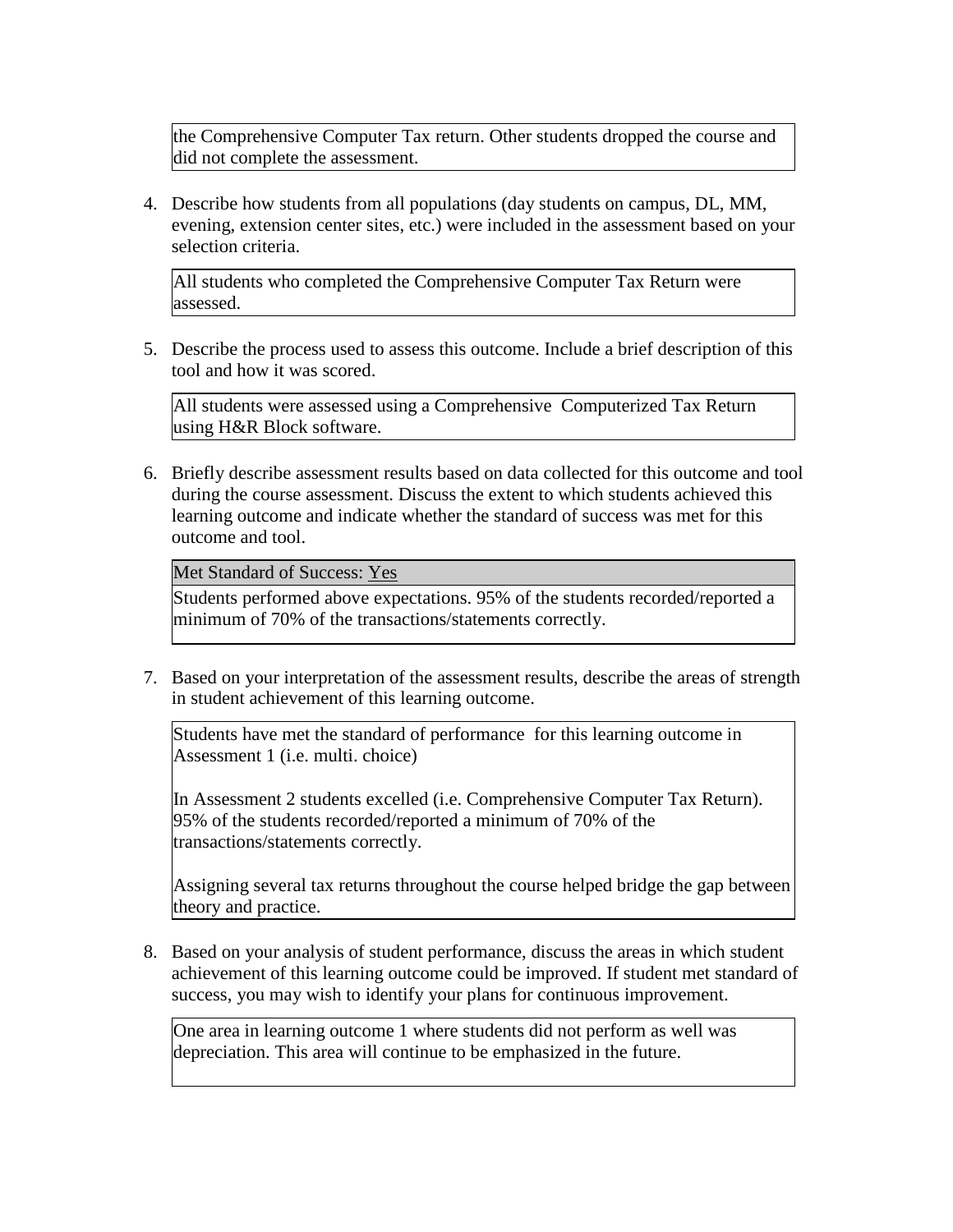the Comprehensive Computer Tax return. Other students dropped the course and did not complete the assessment.

4. Describe how students from all populations (day students on campus, DL, MM, evening, extension center sites, etc.) were included in the assessment based on your selection criteria.

All students who completed the Comprehensive Computer Tax Return were assessed.

5. Describe the process used to assess this outcome. Include a brief description of this tool and how it was scored.

All students were assessed using a Comprehensive Computerized Tax Return using H&R Block software.

6. Briefly describe assessment results based on data collected for this outcome and tool during the course assessment. Discuss the extent to which students achieved this learning outcome and indicate whether the standard of success was met for this outcome and tool.

Met Standard of Success: Yes

Students performed above expectations. 95% of the students recorded/reported a minimum of 70% of the transactions/statements correctly.

7. Based on your interpretation of the assessment results, describe the areas of strength in student achievement of this learning outcome.

Students have met the standard of performance for this learning outcome in Assessment 1 (i.e. multi. choice)

In Assessment 2 students excelled (i.e. Comprehensive Computer Tax Return). 95% of the students recorded/reported a minimum of 70% of the transactions/statements correctly.

Assigning several tax returns throughout the course helped bridge the gap between theory and practice.

8. Based on your analysis of student performance, discuss the areas in which student achievement of this learning outcome could be improved. If student met standard of success, you may wish to identify your plans for continuous improvement.

One area in learning outcome 1 where students did not perform as well was depreciation. This area will continue to be emphasized in the future.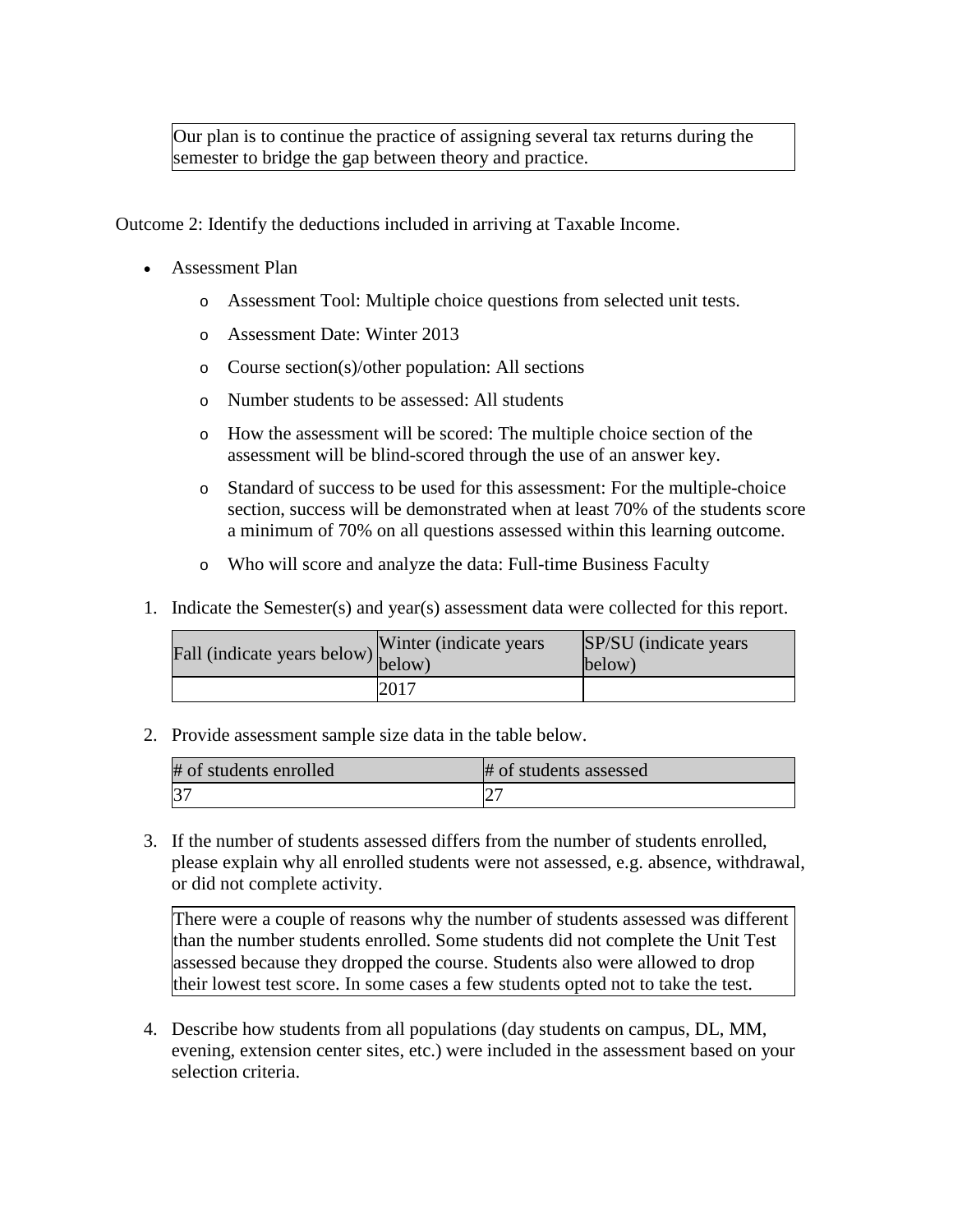Our plan is to continue the practice of assigning several tax returns during the semester to bridge the gap between theory and practice.

Outcome 2: Identify the deductions included in arriving at Taxable Income.

- Assessment Plan
	- o Assessment Tool: Multiple choice questions from selected unit tests.
	- o Assessment Date: Winter 2013
	- o Course section(s)/other population: All sections
	- o Number students to be assessed: All students
	- o How the assessment will be scored: The multiple choice section of the assessment will be blind-scored through the use of an answer key.
	- o Standard of success to be used for this assessment: For the multiple-choice section, success will be demonstrated when at least 70% of the students score a minimum of 70% on all questions assessed within this learning outcome.
	- o Who will score and analyze the data: Full-time Business Faculty
- 1. Indicate the Semester(s) and year(s) assessment data were collected for this report.

| Fall (indicate years below) $\begin{bmatrix} \text{w}\text{m} \\ \text{below} \end{bmatrix}$ | Winter (indicate years) | SP/SU (indicate years)<br>below) |
|----------------------------------------------------------------------------------------------|-------------------------|----------------------------------|
|                                                                                              | 2017                    |                                  |

2. Provide assessment sample size data in the table below.

| # of students enrolled | # of students assessed |
|------------------------|------------------------|
| $ 3-$                  |                        |

3. If the number of students assessed differs from the number of students enrolled, please explain why all enrolled students were not assessed, e.g. absence, withdrawal, or did not complete activity.

There were a couple of reasons why the number of students assessed was different than the number students enrolled. Some students did not complete the Unit Test assessed because they dropped the course. Students also were allowed to drop their lowest test score. In some cases a few students opted not to take the test.

4. Describe how students from all populations (day students on campus, DL, MM, evening, extension center sites, etc.) were included in the assessment based on your selection criteria.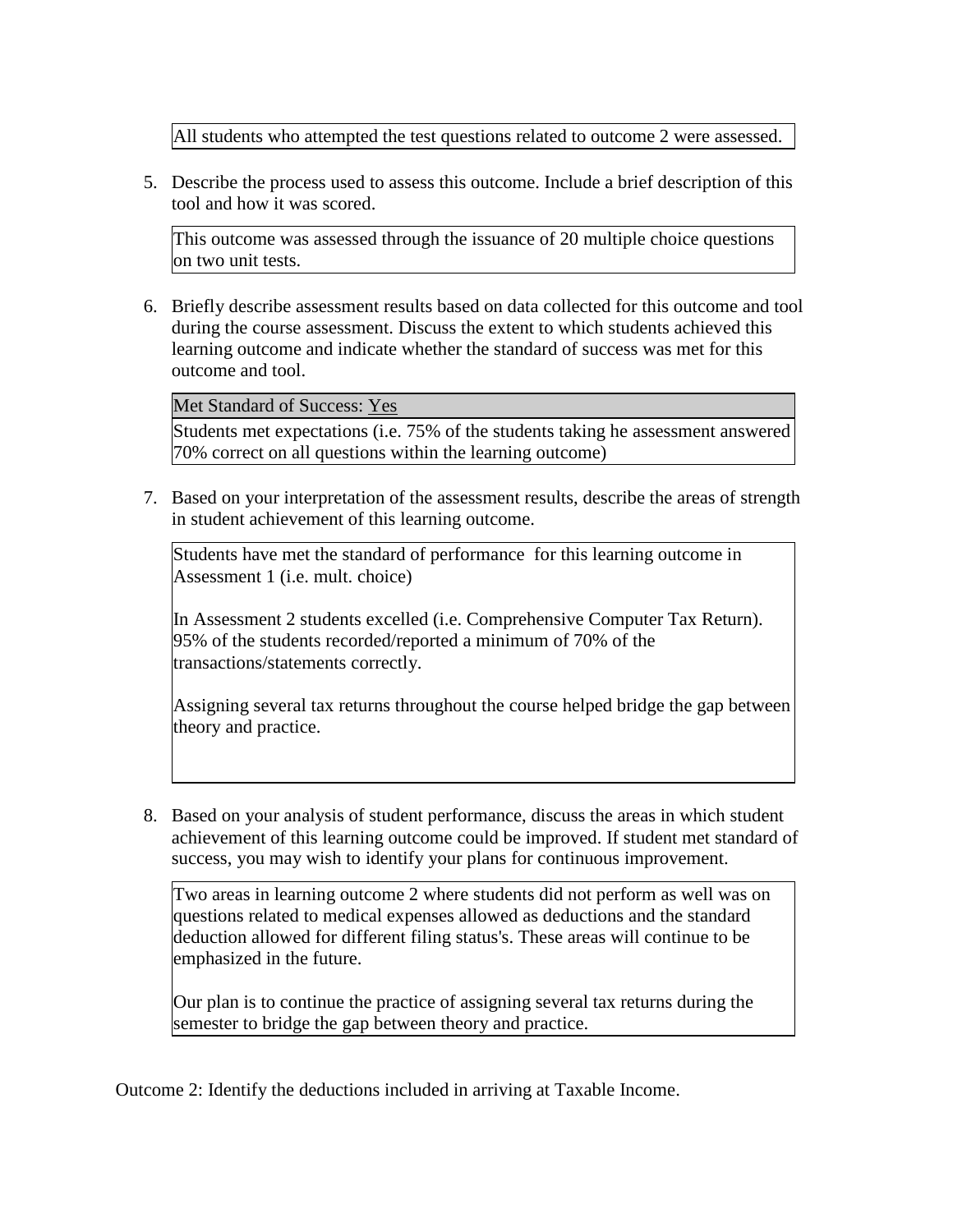All students who attempted the test questions related to outcome 2 were assessed.

5. Describe the process used to assess this outcome. Include a brief description of this tool and how it was scored.

This outcome was assessed through the issuance of 20 multiple choice questions on two unit tests.

6. Briefly describe assessment results based on data collected for this outcome and tool during the course assessment. Discuss the extent to which students achieved this learning outcome and indicate whether the standard of success was met for this outcome and tool.

Met Standard of Success: Yes

Students met expectations (i.e. 75% of the students taking he assessment answered 70% correct on all questions within the learning outcome)

7. Based on your interpretation of the assessment results, describe the areas of strength in student achievement of this learning outcome.

Students have met the standard of performance for this learning outcome in Assessment 1 (i.e. mult. choice)

In Assessment 2 students excelled (i.e. Comprehensive Computer Tax Return). 95% of the students recorded/reported a minimum of 70% of the transactions/statements correctly.

Assigning several tax returns throughout the course helped bridge the gap between theory and practice.

8. Based on your analysis of student performance, discuss the areas in which student achievement of this learning outcome could be improved. If student met standard of success, you may wish to identify your plans for continuous improvement.

Two areas in learning outcome 2 where students did not perform as well was on questions related to medical expenses allowed as deductions and the standard deduction allowed for different filing status's. These areas will continue to be emphasized in the future.

Our plan is to continue the practice of assigning several tax returns during the semester to bridge the gap between theory and practice.

Outcome 2: Identify the deductions included in arriving at Taxable Income.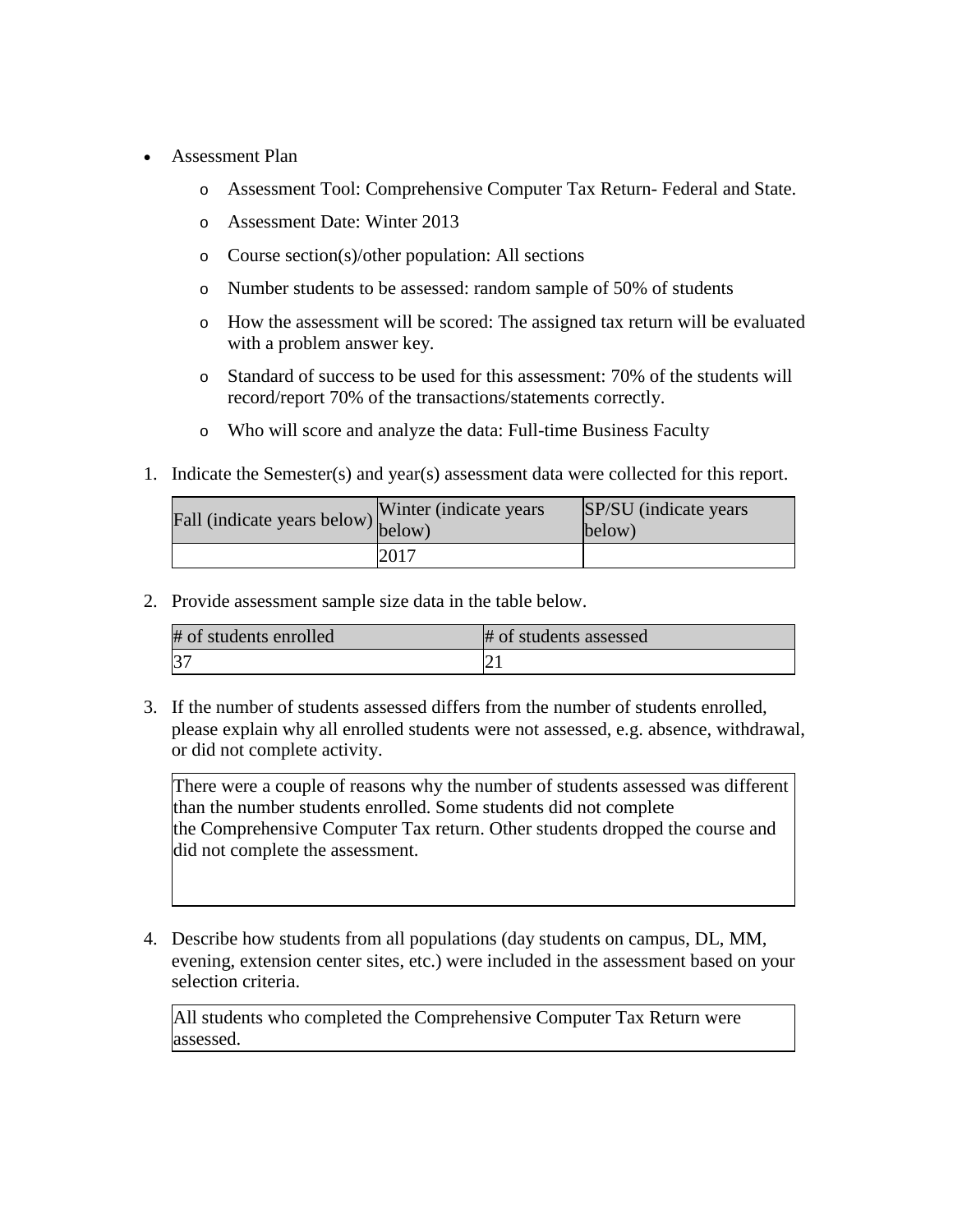- Assessment Plan
	- o Assessment Tool: Comprehensive Computer Tax Return- Federal and State.
	- o Assessment Date: Winter 2013
	- o Course section(s)/other population: All sections
	- o Number students to be assessed: random sample of 50% of students
	- o How the assessment will be scored: The assigned tax return will be evaluated with a problem answer key.
	- o Standard of success to be used for this assessment: 70% of the students will record/report 70% of the transactions/statements correctly.
	- o Who will score and analyze the data: Full-time Business Faculty
- 1. Indicate the Semester(s) and year(s) assessment data were collected for this report.

| Fall (indicate years below) $\begin{bmatrix} w \text{ inter} \\ below \end{bmatrix}$ | Winter (indicate years) | SP/SU (indicate years)<br>below) |
|--------------------------------------------------------------------------------------|-------------------------|----------------------------------|
|                                                                                      | 2017                    |                                  |

| # of students enrolled | # of students assessed |
|------------------------|------------------------|
| $ 3-$                  |                        |

3. If the number of students assessed differs from the number of students enrolled, please explain why all enrolled students were not assessed, e.g. absence, withdrawal, or did not complete activity.

There were a couple of reasons why the number of students assessed was different than the number students enrolled. Some students did not complete the Comprehensive Computer Tax return. Other students dropped the course and did not complete the assessment.

4. Describe how students from all populations (day students on campus, DL, MM, evening, extension center sites, etc.) were included in the assessment based on your selection criteria.

All students who completed the Comprehensive Computer Tax Return were assessed.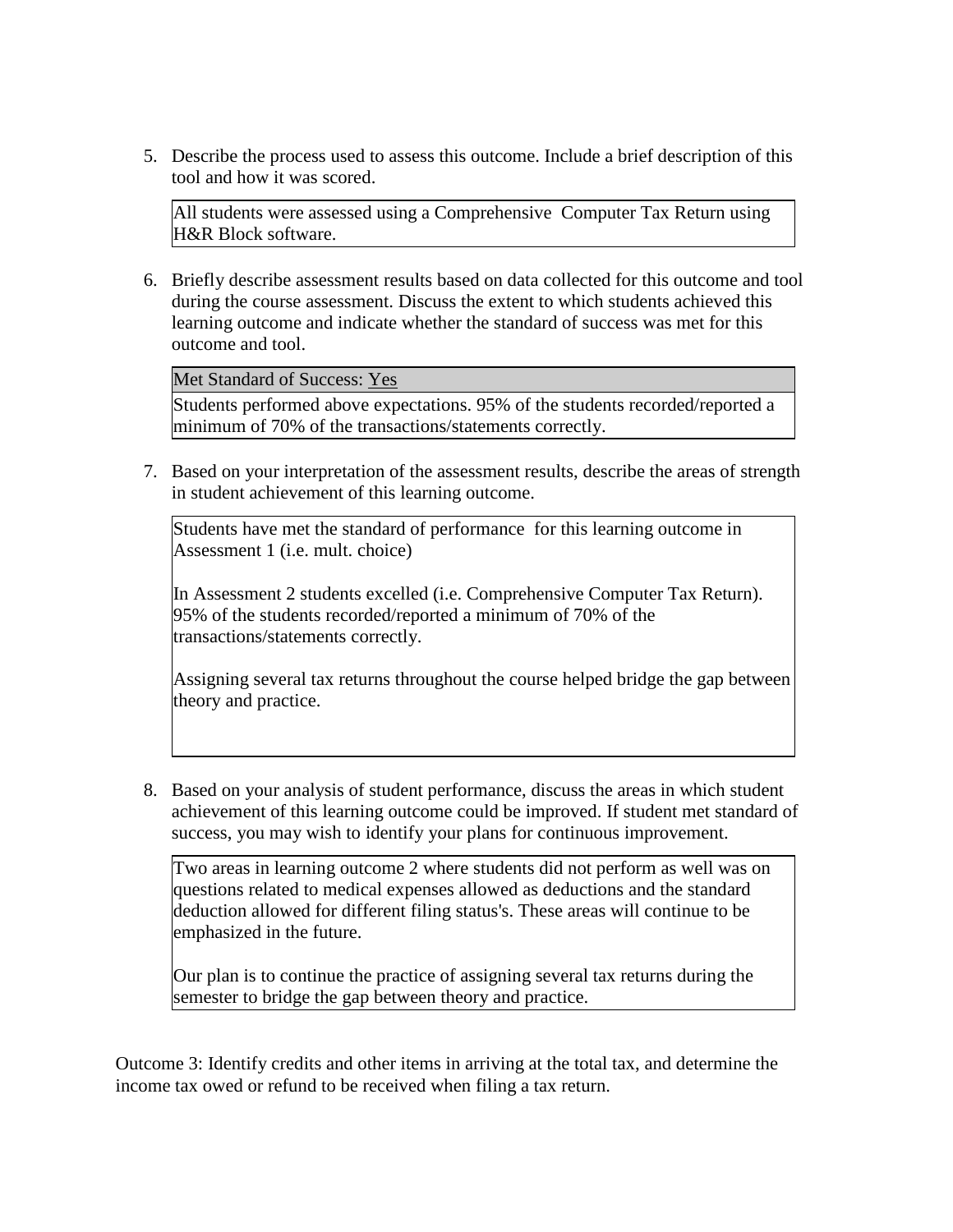5. Describe the process used to assess this outcome. Include a brief description of this tool and how it was scored.

All students were assessed using a Comprehensive Computer Tax Return using H&R Block software.

6. Briefly describe assessment results based on data collected for this outcome and tool during the course assessment. Discuss the extent to which students achieved this learning outcome and indicate whether the standard of success was met for this outcome and tool.

Met Standard of Success: Yes

Students performed above expectations. 95% of the students recorded/reported a minimum of 70% of the transactions/statements correctly.

7. Based on your interpretation of the assessment results, describe the areas of strength in student achievement of this learning outcome.

Students have met the standard of performance for this learning outcome in Assessment 1 (i.e. mult. choice)

In Assessment 2 students excelled (i.e. Comprehensive Computer Tax Return). 95% of the students recorded/reported a minimum of 70% of the transactions/statements correctly.

Assigning several tax returns throughout the course helped bridge the gap between theory and practice.

8. Based on your analysis of student performance, discuss the areas in which student achievement of this learning outcome could be improved. If student met standard of success, you may wish to identify your plans for continuous improvement.

Two areas in learning outcome 2 where students did not perform as well was on questions related to medical expenses allowed as deductions and the standard deduction allowed for different filing status's. These areas will continue to be emphasized in the future.

Our plan is to continue the practice of assigning several tax returns during the semester to bridge the gap between theory and practice.

Outcome 3: Identify credits and other items in arriving at the total tax, and determine the income tax owed or refund to be received when filing a tax return.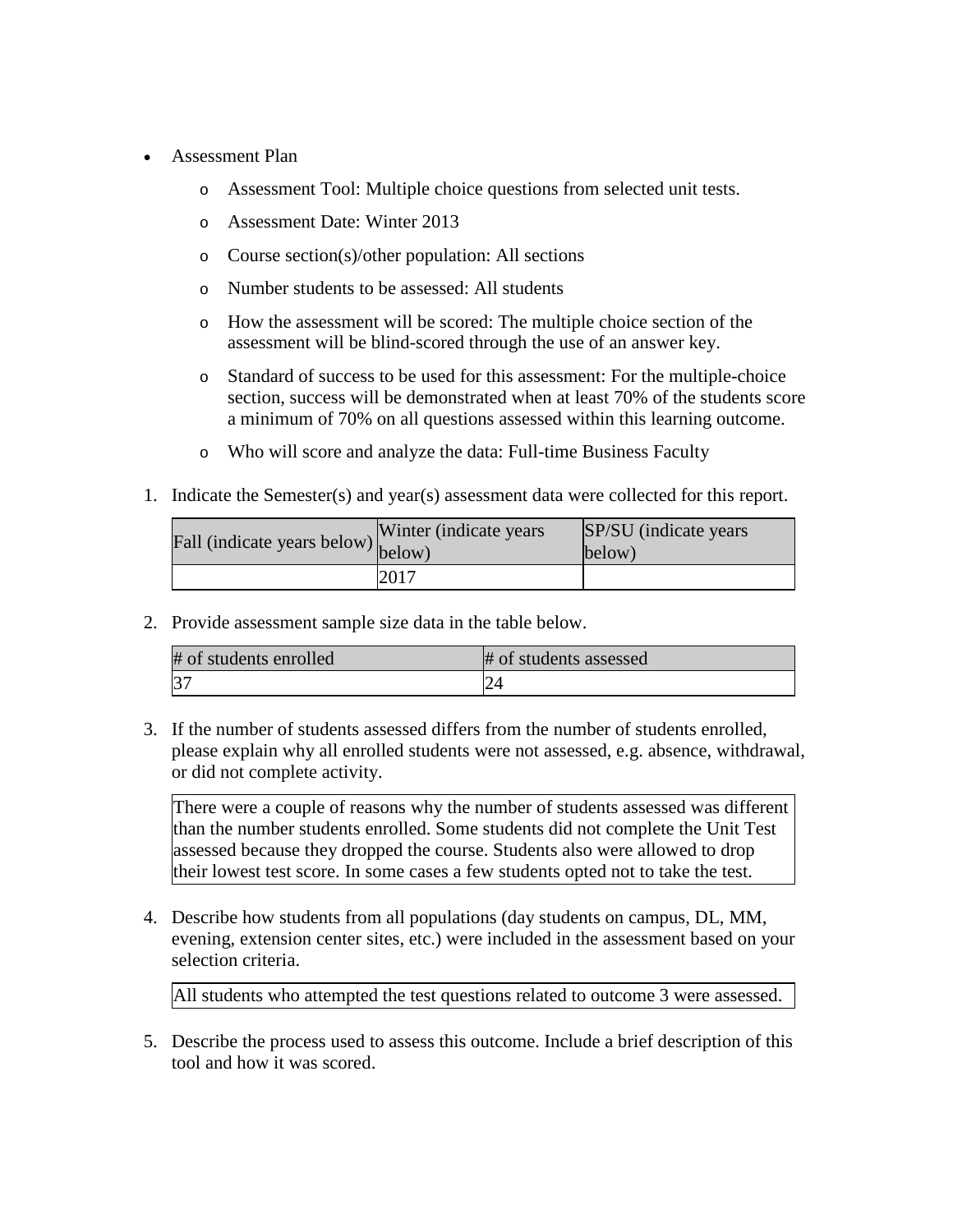- Assessment Plan
	- o Assessment Tool: Multiple choice questions from selected unit tests.
	- o Assessment Date: Winter 2013
	- o Course section(s)/other population: All sections
	- o Number students to be assessed: All students
	- o How the assessment will be scored: The multiple choice section of the assessment will be blind-scored through the use of an answer key.
	- o Standard of success to be used for this assessment: For the multiple-choice section, success will be demonstrated when at least 70% of the students score a minimum of 70% on all questions assessed within this learning outcome.
	- o Who will score and analyze the data: Full-time Business Faculty
- 1. Indicate the Semester(s) and year(s) assessment data were collected for this report.

| Fall (indicate years below) below) | Winter (indicate years) | SP/SU (indicate years)<br>below) |
|------------------------------------|-------------------------|----------------------------------|
|                                    | 2017                    |                                  |

| # of students enrolled | # of students assessed |
|------------------------|------------------------|
|                        |                        |

3. If the number of students assessed differs from the number of students enrolled, please explain why all enrolled students were not assessed, e.g. absence, withdrawal, or did not complete activity.

There were a couple of reasons why the number of students assessed was different than the number students enrolled. Some students did not complete the Unit Test assessed because they dropped the course. Students also were allowed to drop their lowest test score. In some cases a few students opted not to take the test.

4. Describe how students from all populations (day students on campus, DL, MM, evening, extension center sites, etc.) were included in the assessment based on your selection criteria.

All students who attempted the test questions related to outcome 3 were assessed.

5. Describe the process used to assess this outcome. Include a brief description of this tool and how it was scored.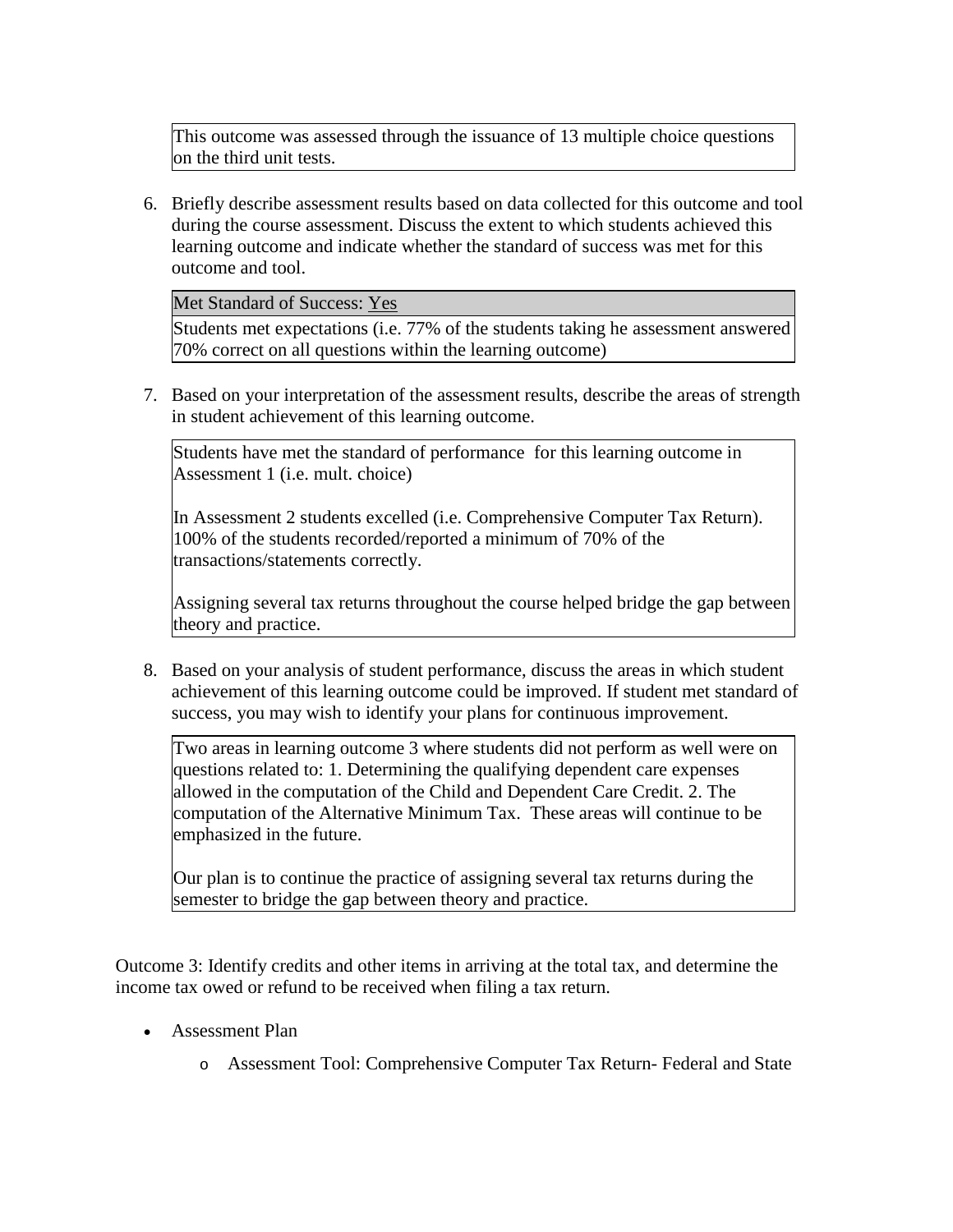This outcome was assessed through the issuance of 13 multiple choice questions on the third unit tests.

6. Briefly describe assessment results based on data collected for this outcome and tool during the course assessment. Discuss the extent to which students achieved this learning outcome and indicate whether the standard of success was met for this outcome and tool.

Met Standard of Success: Yes

Students met expectations (i.e. 77% of the students taking he assessment answered 70% correct on all questions within the learning outcome)

7. Based on your interpretation of the assessment results, describe the areas of strength in student achievement of this learning outcome.

Students have met the standard of performance for this learning outcome in Assessment 1 (i.e. mult. choice)

In Assessment 2 students excelled (i.e. Comprehensive Computer Tax Return). 100% of the students recorded/reported a minimum of 70% of the transactions/statements correctly.

Assigning several tax returns throughout the course helped bridge the gap between theory and practice.

8. Based on your analysis of student performance, discuss the areas in which student achievement of this learning outcome could be improved. If student met standard of success, you may wish to identify your plans for continuous improvement.

Two areas in learning outcome 3 where students did not perform as well were on questions related to: 1. Determining the qualifying dependent care expenses allowed in the computation of the Child and Dependent Care Credit. 2. The computation of the Alternative Minimum Tax. These areas will continue to be emphasized in the future.

Our plan is to continue the practice of assigning several tax returns during the semester to bridge the gap between theory and practice.

Outcome 3: Identify credits and other items in arriving at the total tax, and determine the income tax owed or refund to be received when filing a tax return.

- Assessment Plan
	- o Assessment Tool: Comprehensive Computer Tax Return- Federal and State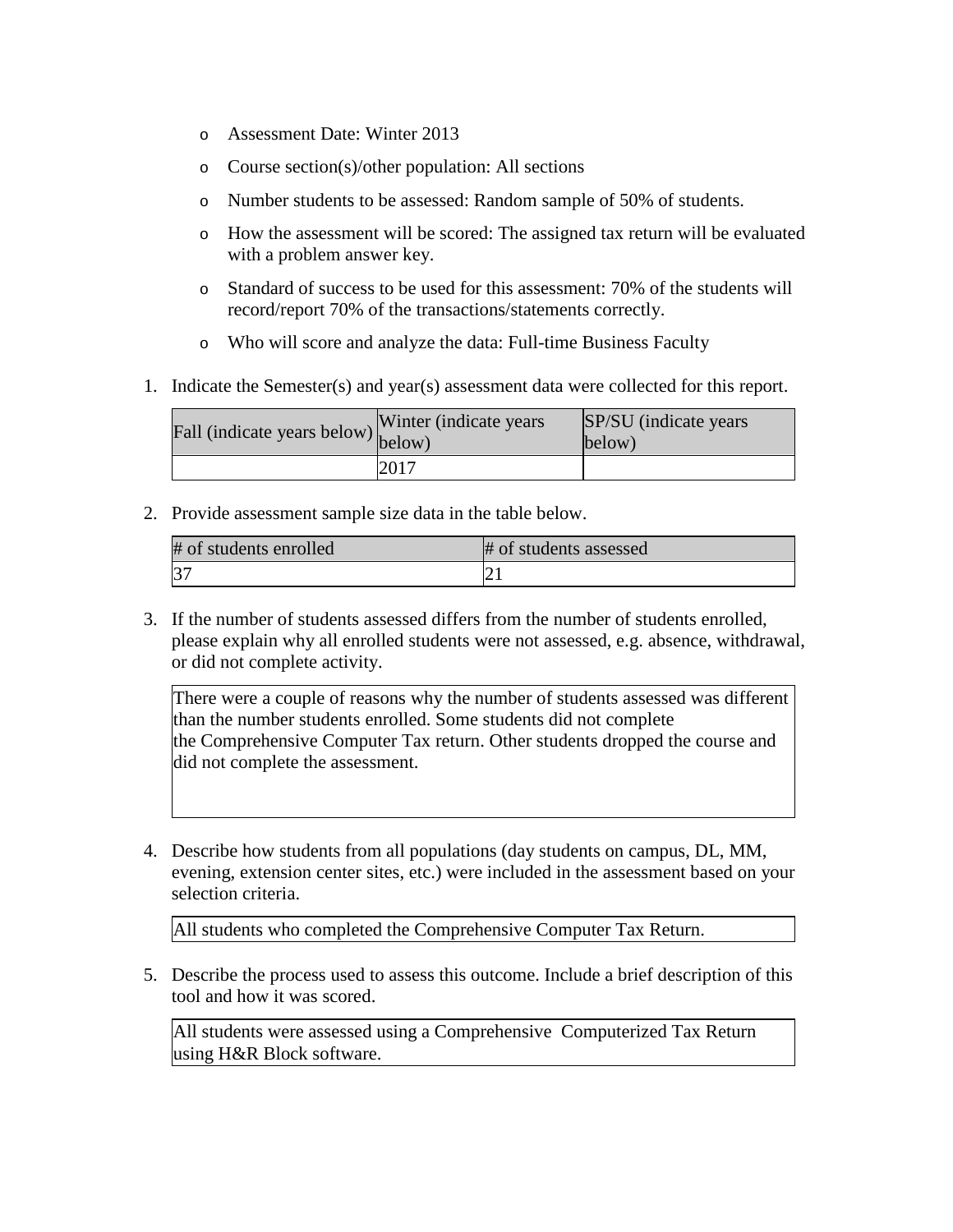- o Assessment Date: Winter 2013
- o Course section(s)/other population: All sections
- o Number students to be assessed: Random sample of 50% of students.
- o How the assessment will be scored: The assigned tax return will be evaluated with a problem answer key.
- o Standard of success to be used for this assessment: 70% of the students will record/report 70% of the transactions/statements correctly.
- o Who will score and analyze the data: Full-time Business Faculty
- 1. Indicate the Semester(s) and year(s) assessment data were collected for this report.

| Fall (indicate years below) below) | Winter (indicate years) | SP/SU (indicate years)<br>below) |
|------------------------------------|-------------------------|----------------------------------|
|                                    | 2017                    |                                  |

| # of students enrolled | # of students assessed |
|------------------------|------------------------|
|                        |                        |

3. If the number of students assessed differs from the number of students enrolled, please explain why all enrolled students were not assessed, e.g. absence, withdrawal, or did not complete activity.

There were a couple of reasons why the number of students assessed was different than the number students enrolled. Some students did not complete the Comprehensive Computer Tax return. Other students dropped the course and did not complete the assessment.

4. Describe how students from all populations (day students on campus, DL, MM, evening, extension center sites, etc.) were included in the assessment based on your selection criteria.

All students who completed the Comprehensive Computer Tax Return.

5. Describe the process used to assess this outcome. Include a brief description of this tool and how it was scored.

All students were assessed using a Comprehensive Computerized Tax Return using H&R Block software.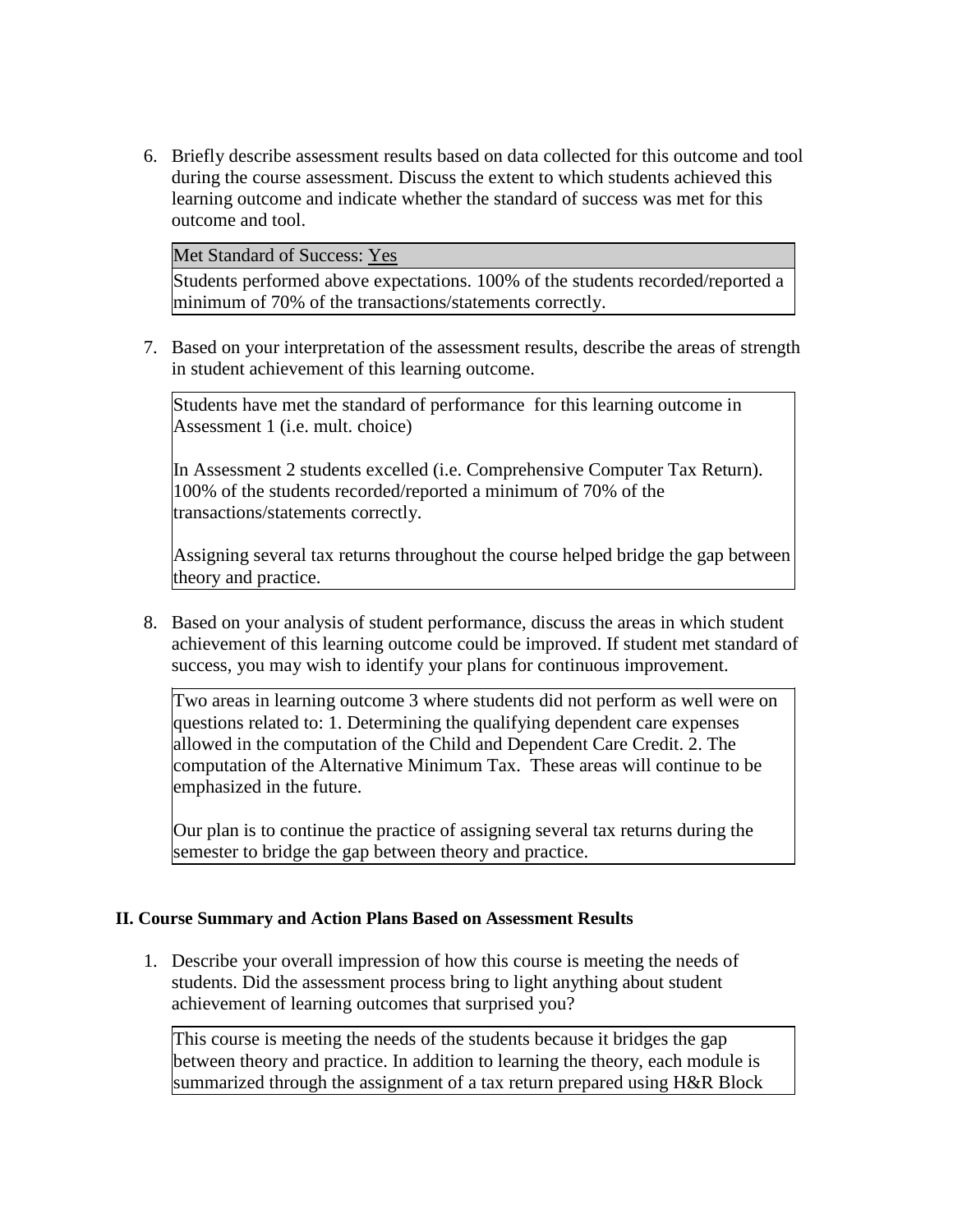6. Briefly describe assessment results based on data collected for this outcome and tool during the course assessment. Discuss the extent to which students achieved this learning outcome and indicate whether the standard of success was met for this outcome and tool.

Met Standard of Success: Yes

Students performed above expectations. 100% of the students recorded/reported a minimum of 70% of the transactions/statements correctly.

7. Based on your interpretation of the assessment results, describe the areas of strength in student achievement of this learning outcome.

Students have met the standard of performance for this learning outcome in Assessment 1 (i.e. mult. choice)

In Assessment 2 students excelled (i.e. Comprehensive Computer Tax Return). 100% of the students recorded/reported a minimum of 70% of the transactions/statements correctly.

Assigning several tax returns throughout the course helped bridge the gap between theory and practice.

8. Based on your analysis of student performance, discuss the areas in which student achievement of this learning outcome could be improved. If student met standard of success, you may wish to identify your plans for continuous improvement.

Two areas in learning outcome 3 where students did not perform as well were on questions related to: 1. Determining the qualifying dependent care expenses allowed in the computation of the Child and Dependent Care Credit. 2. The computation of the Alternative Minimum Tax. These areas will continue to be emphasized in the future.

Our plan is to continue the practice of assigning several tax returns during the semester to bridge the gap between theory and practice.

## **II. Course Summary and Action Plans Based on Assessment Results**

1. Describe your overall impression of how this course is meeting the needs of students. Did the assessment process bring to light anything about student achievement of learning outcomes that surprised you?

This course is meeting the needs of the students because it bridges the gap between theory and practice. In addition to learning the theory, each module is summarized through the assignment of a tax return prepared using H&R Block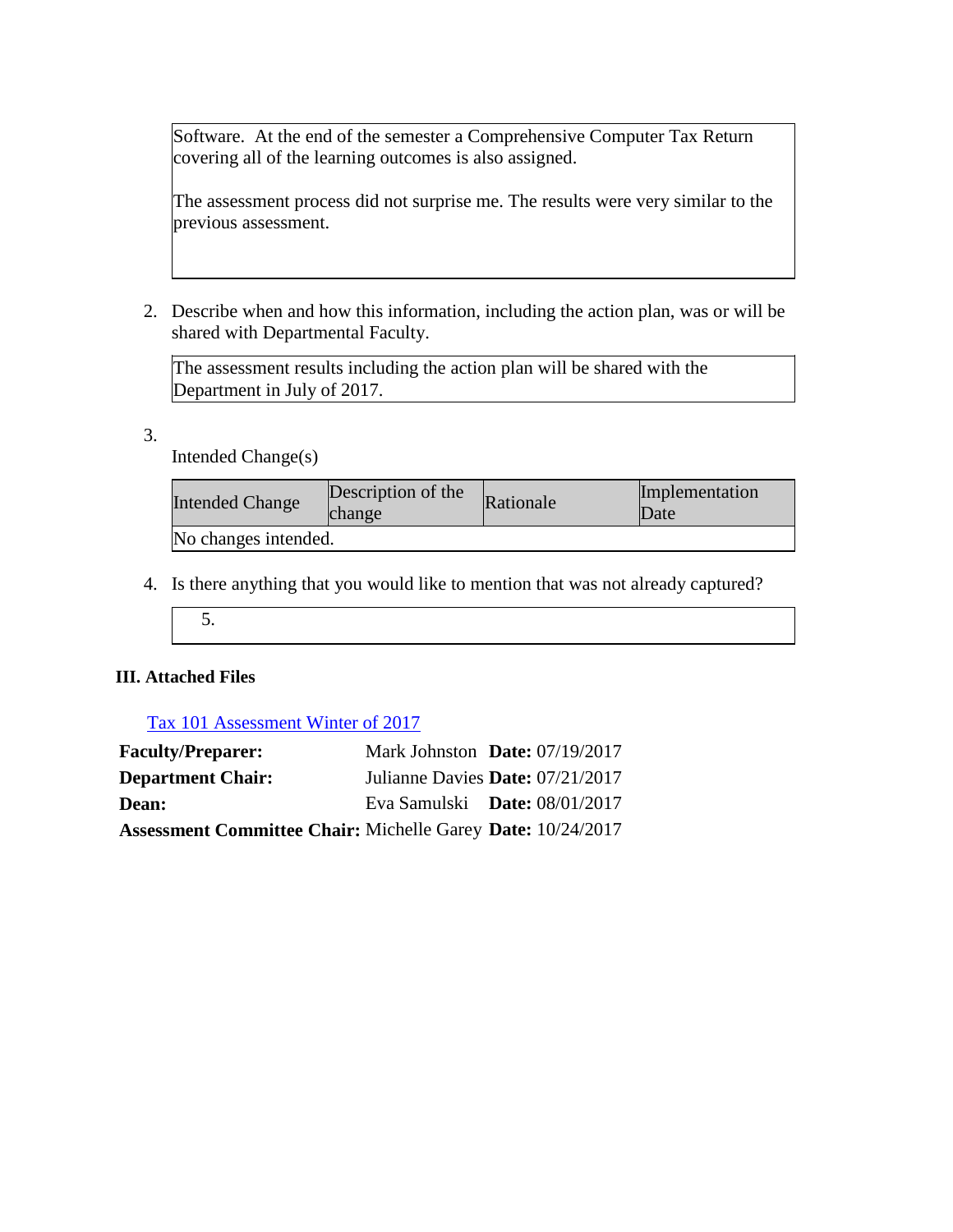Software. At the end of the semester a Comprehensive Computer Tax Return covering all of the learning outcomes is also assigned.

The assessment process did not surprise me. The results were very similar to the previous assessment.

2. Describe when and how this information, including the action plan, was or will be shared with Departmental Faculty.

The assessment results including the action plan will be shared with the Department in July of 2017.

3.

Intended Change(s)

| <b>Intended Change</b> | Description of the<br>change | Rationale | Implementation<br>Date |
|------------------------|------------------------------|-----------|------------------------|
| No changes intended.   |                              |           |                        |

- 4. Is there anything that you would like to mention that was not already captured?
	- 5.

# **III. Attached Files**

# Tax 101 Assessment Winter of 2017

| <b>Faculty/Preparer:</b>                                           | Mark Johnston Date: $07/19/2017$       |  |
|--------------------------------------------------------------------|----------------------------------------|--|
| <b>Department Chair:</b>                                           | Julianne Davies Date: 07/21/2017       |  |
| <b>Dean:</b>                                                       | Eva Samulski <b>Date:</b> $08/01/2017$ |  |
| <b>Assessment Committee Chair: Michelle Garey Date: 10/24/2017</b> |                                        |  |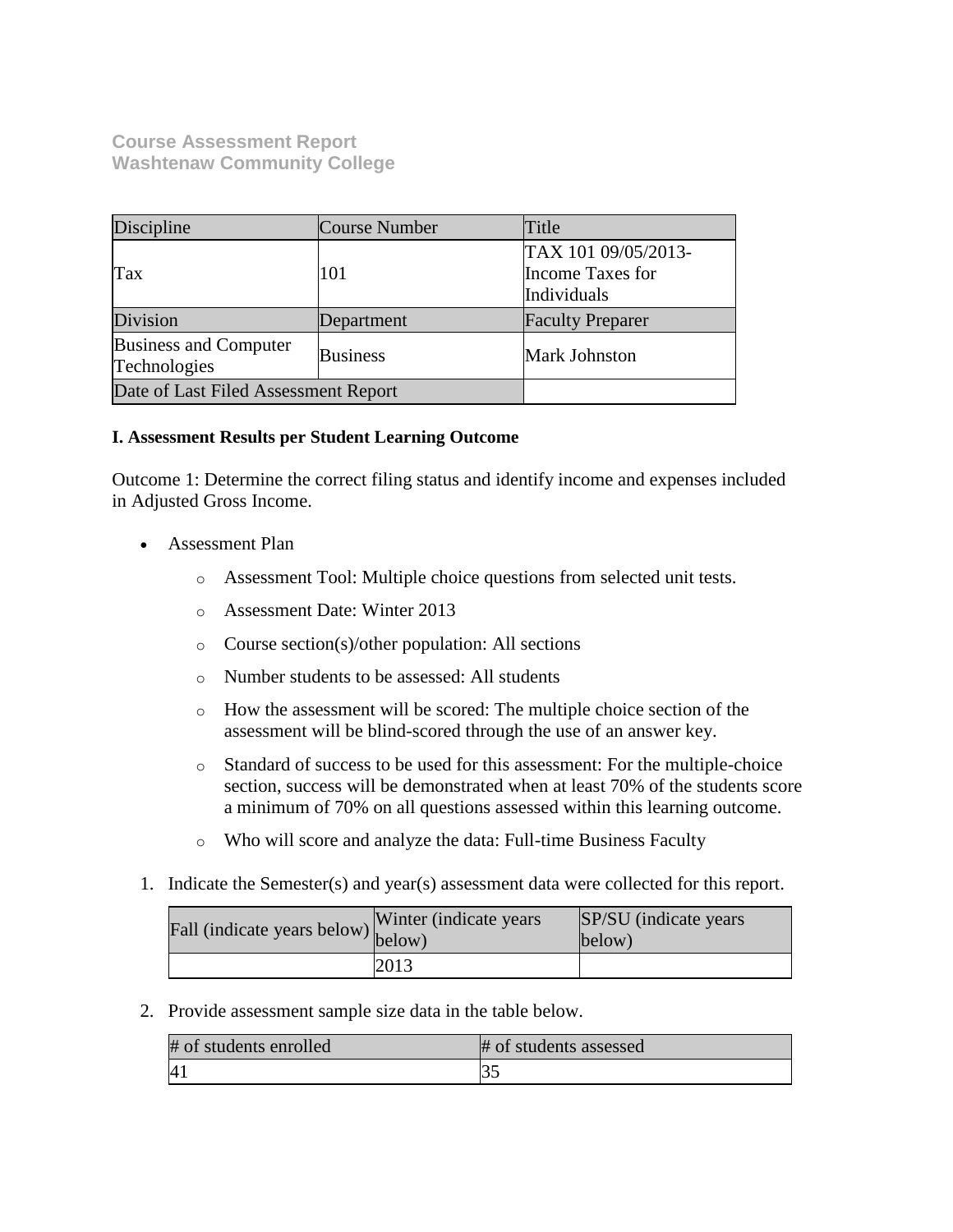**Course Assessment Report Washtenaw Community College**

| Discipline                                   | <b>Course Number</b> | Title                                                  |
|----------------------------------------------|----------------------|--------------------------------------------------------|
| Tax                                          | 101                  | TAX 101 09/05/2013-<br>Income Taxes for<br>Individuals |
| Division                                     | Department           | <b>Faculty Preparer</b>                                |
| <b>Business and Computer</b><br>Technologies | <b>Business</b>      | <b>Mark Johnston</b>                                   |
| Date of Last Filed Assessment Report         |                      |                                                        |

### **I. Assessment Results per Student Learning Outcome**

Outcome 1: Determine the correct filing status and identify income and expenses included in Adjusted Gross Income.

- Assessment Plan
	- o Assessment Tool: Multiple choice questions from selected unit tests.
	- o Assessment Date: Winter 2013
	- o Course section(s)/other population: All sections
	- o Number students to be assessed: All students
	- o How the assessment will be scored: The multiple choice section of the assessment will be blind-scored through the use of an answer key.
	- o Standard of success to be used for this assessment: For the multiple-choice section, success will be demonstrated when at least 70% of the students score a minimum of 70% on all questions assessed within this learning outcome.
	- o Who will score and analyze the data: Full-time Business Faculty
- 1. Indicate the Semester(s) and year(s) assessment data were collected for this report.

| Fall (indicate years below) below) | Winter (indicate years) | SP/SU (indicate years)<br>below) |
|------------------------------------|-------------------------|----------------------------------|
|                                    | 2013                    |                                  |

2. Provide assessment sample size data in the table below.

| # of students enrolled | # of students assessed |
|------------------------|------------------------|
| $\vert 4 \vert$        |                        |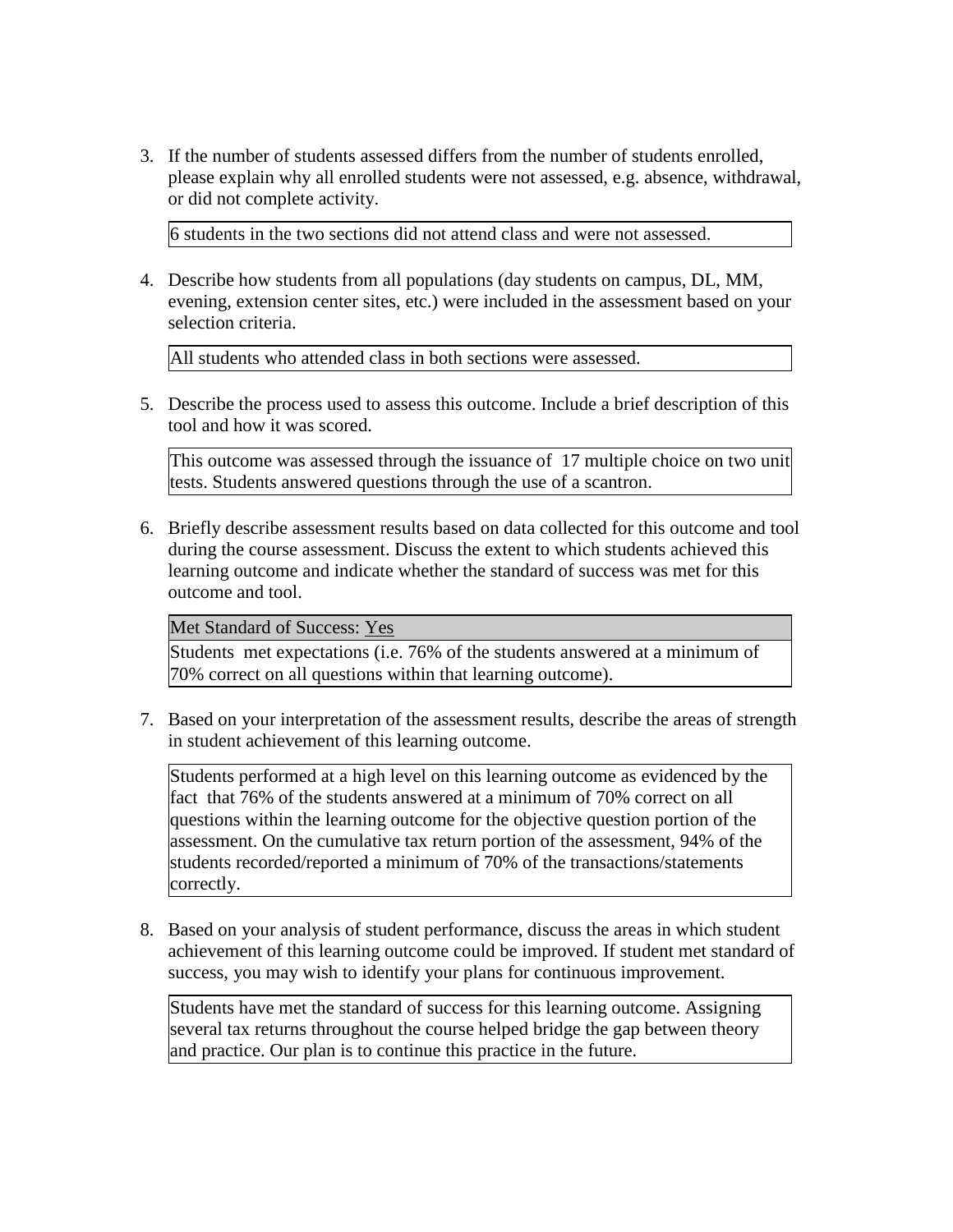3. If the number of students assessed differs from the number of students enrolled, please explain why all enrolled students were not assessed, e.g. absence, withdrawal, or did not complete activity.

6 students in the two sections did not attend class and were not assessed.

4. Describe how students from all populations (day students on campus, DL, MM, evening, extension center sites, etc.) were included in the assessment based on your selection criteria.

All students who attended class in both sections were assessed.

5. Describe the process used to assess this outcome. Include a brief description of this tool and how it was scored.

This outcome was assessed through the issuance of 17 multiple choice on two unit tests. Students answered questions through the use of a scantron.

6. Briefly describe assessment results based on data collected for this outcome and tool during the course assessment. Discuss the extent to which students achieved this learning outcome and indicate whether the standard of success was met for this outcome and tool.

Met Standard of Success: Yes

Students met expectations (i.e. 76% of the students answered at a minimum of 70% correct on all questions within that learning outcome).

7. Based on your interpretation of the assessment results, describe the areas of strength in student achievement of this learning outcome.

Students performed at a high level on this learning outcome as evidenced by the fact that 76% of the students answered at a minimum of 70% correct on all questions within the learning outcome for the objective question portion of the assessment. On the cumulative tax return portion of the assessment, 94% of the students recorded/reported a minimum of 70% of the transactions/statements correctly.

8. Based on your analysis of student performance, discuss the areas in which student achievement of this learning outcome could be improved. If student met standard of success, you may wish to identify your plans for continuous improvement.

Students have met the standard of success for this learning outcome. Assigning several tax returns throughout the course helped bridge the gap between theory and practice. Our plan is to continue this practice in the future.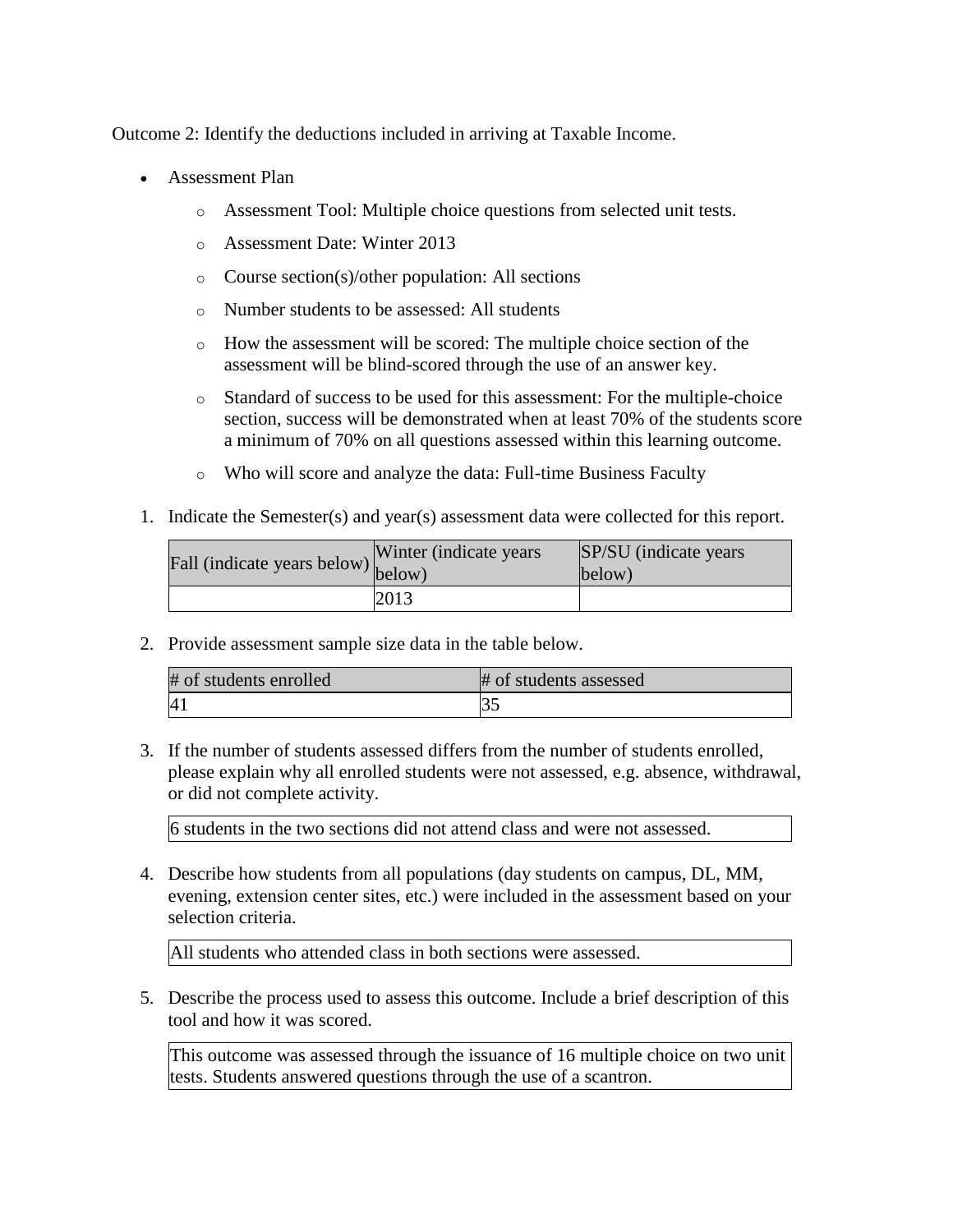Outcome 2: Identify the deductions included in arriving at Taxable Income.

- Assessment Plan
	- o Assessment Tool: Multiple choice questions from selected unit tests.
	- o Assessment Date: Winter 2013
	- o Course section(s)/other population: All sections
	- o Number students to be assessed: All students
	- o How the assessment will be scored: The multiple choice section of the assessment will be blind-scored through the use of an answer key.
	- o Standard of success to be used for this assessment: For the multiple-choice section, success will be demonstrated when at least 70% of the students score a minimum of 70% on all questions assessed within this learning outcome.
	- o Who will score and analyze the data: Full-time Business Faculty
- 1. Indicate the Semester(s) and year(s) assessment data were collected for this report.

| Fall (indicate years below) below) | Winter (indicate years) | SP/SU (indicate years)<br>below) |
|------------------------------------|-------------------------|----------------------------------|
|                                    | 2013                    |                                  |

2. Provide assessment sample size data in the table below.

| # of students enrolled | # of students assessed |
|------------------------|------------------------|
| $\vert 4 \vert$        |                        |

3. If the number of students assessed differs from the number of students enrolled, please explain why all enrolled students were not assessed, e.g. absence, withdrawal, or did not complete activity.

6 students in the two sections did not attend class and were not assessed.

4. Describe how students from all populations (day students on campus, DL, MM, evening, extension center sites, etc.) were included in the assessment based on your selection criteria.

All students who attended class in both sections were assessed.

5. Describe the process used to assess this outcome. Include a brief description of this tool and how it was scored.

This outcome was assessed through the issuance of 16 multiple choice on two unit tests. Students answered questions through the use of a scantron.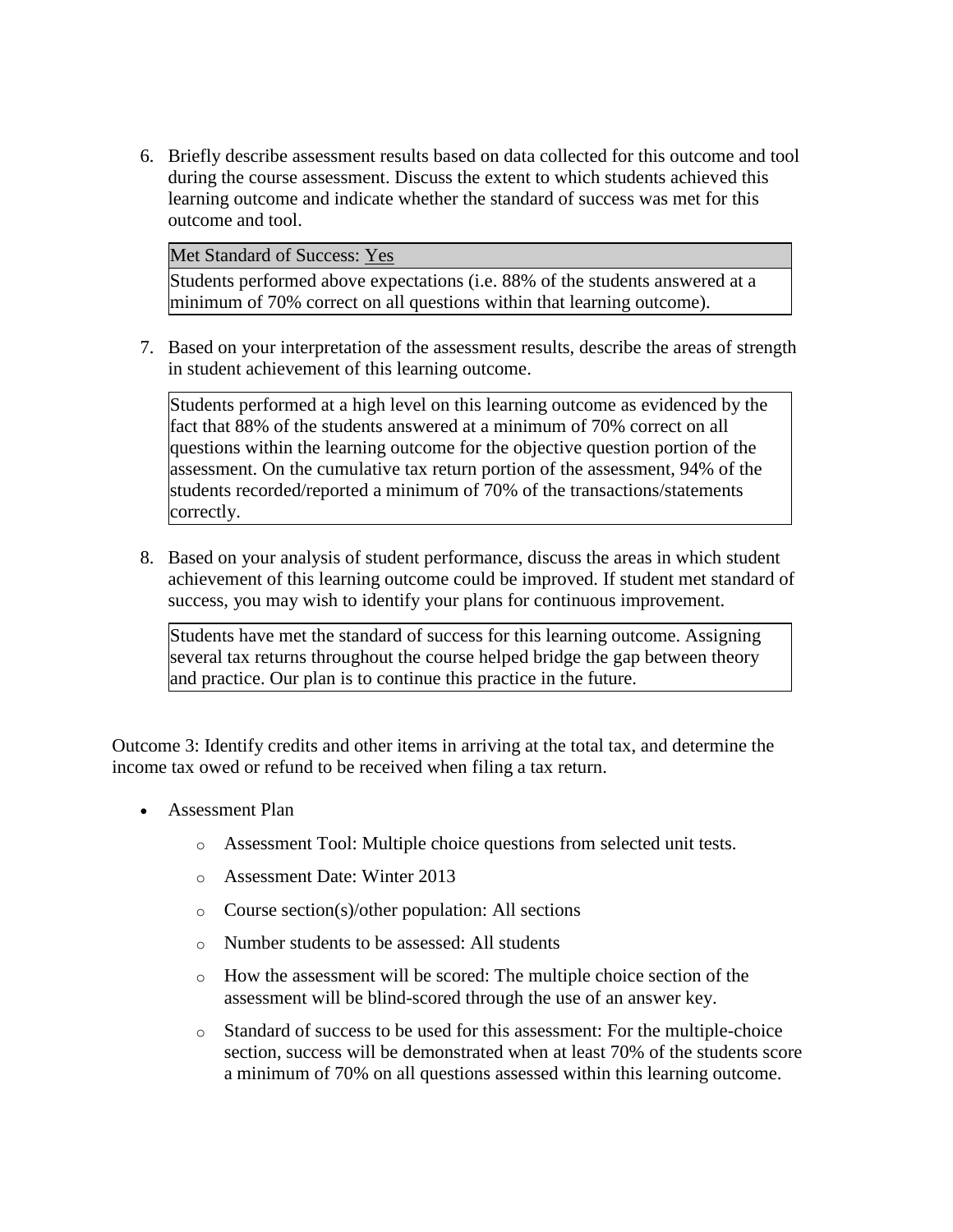6. Briefly describe assessment results based on data collected for this outcome and tool during the course assessment. Discuss the extent to which students achieved this learning outcome and indicate whether the standard of success was met for this outcome and tool.

Met Standard of Success: Yes

Students performed above expectations (i.e. 88% of the students answered at a minimum of 70% correct on all questions within that learning outcome).

7. Based on your interpretation of the assessment results, describe the areas of strength in student achievement of this learning outcome.

Students performed at a high level on this learning outcome as evidenced by the fact that 88% of the students answered at a minimum of 70% correct on all questions within the learning outcome for the objective question portion of the assessment. On the cumulative tax return portion of the assessment, 94% of the students recorded/reported a minimum of 70% of the transactions/statements correctly.

8. Based on your analysis of student performance, discuss the areas in which student achievement of this learning outcome could be improved. If student met standard of success, you may wish to identify your plans for continuous improvement.

Students have met the standard of success for this learning outcome. Assigning several tax returns throughout the course helped bridge the gap between theory and practice. Our plan is to continue this practice in the future.

Outcome 3: Identify credits and other items in arriving at the total tax, and determine the income tax owed or refund to be received when filing a tax return.

- Assessment Plan
	- o Assessment Tool: Multiple choice questions from selected unit tests.
	- o Assessment Date: Winter 2013
	- o Course section(s)/other population: All sections
	- o Number students to be assessed: All students
	- o How the assessment will be scored: The multiple choice section of the assessment will be blind-scored through the use of an answer key.
	- o Standard of success to be used for this assessment: For the multiple-choice section, success will be demonstrated when at least 70% of the students score a minimum of 70% on all questions assessed within this learning outcome.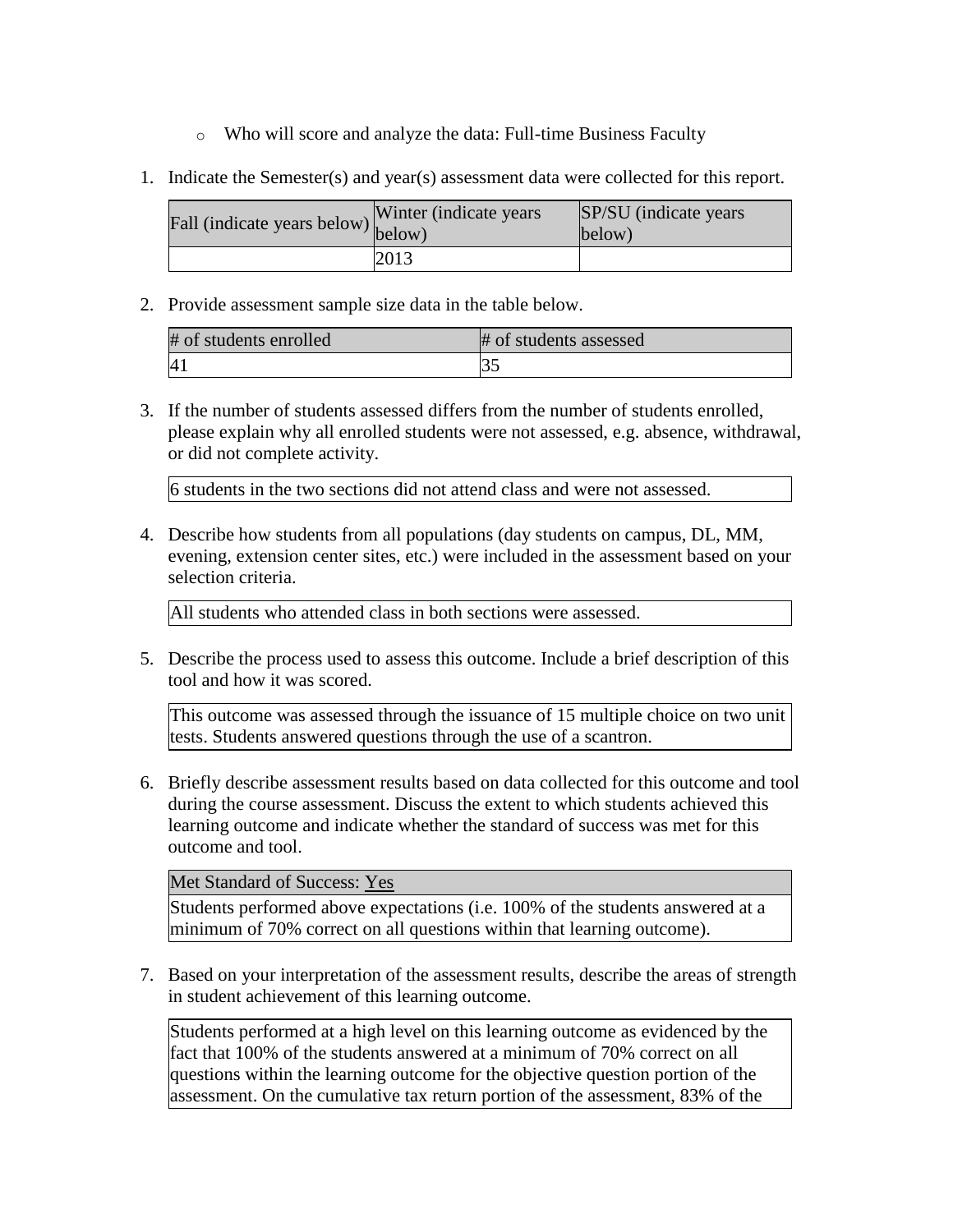- o Who will score and analyze the data: Full-time Business Faculty
- 1. Indicate the Semester(s) and year(s) assessment data were collected for this report.

| $\angle$ all (indicate years below) $\begin{bmatrix} 1 & 1 \\ 1 & 1 \end{bmatrix}$ | Winter (indicate years) | SP/SU (indicate years)<br>below) |
|------------------------------------------------------------------------------------|-------------------------|----------------------------------|
|                                                                                    | 2013                    |                                  |

| # of students enrolled | # of students assessed |
|------------------------|------------------------|
|                        |                        |

3. If the number of students assessed differs from the number of students enrolled, please explain why all enrolled students were not assessed, e.g. absence, withdrawal, or did not complete activity.

6 students in the two sections did not attend class and were not assessed.

4. Describe how students from all populations (day students on campus, DL, MM, evening, extension center sites, etc.) were included in the assessment based on your selection criteria.

All students who attended class in both sections were assessed.

5. Describe the process used to assess this outcome. Include a brief description of this tool and how it was scored.

This outcome was assessed through the issuance of 15 multiple choice on two unit tests. Students answered questions through the use of a scantron.

6. Briefly describe assessment results based on data collected for this outcome and tool during the course assessment. Discuss the extent to which students achieved this learning outcome and indicate whether the standard of success was met for this outcome and tool.

Met Standard of Success: Yes

Students performed above expectations (i.e. 100% of the students answered at a minimum of 70% correct on all questions within that learning outcome).

7. Based on your interpretation of the assessment results, describe the areas of strength in student achievement of this learning outcome.

Students performed at a high level on this learning outcome as evidenced by the fact that 100% of the students answered at a minimum of 70% correct on all questions within the learning outcome for the objective question portion of the assessment. On the cumulative tax return portion of the assessment, 83% of the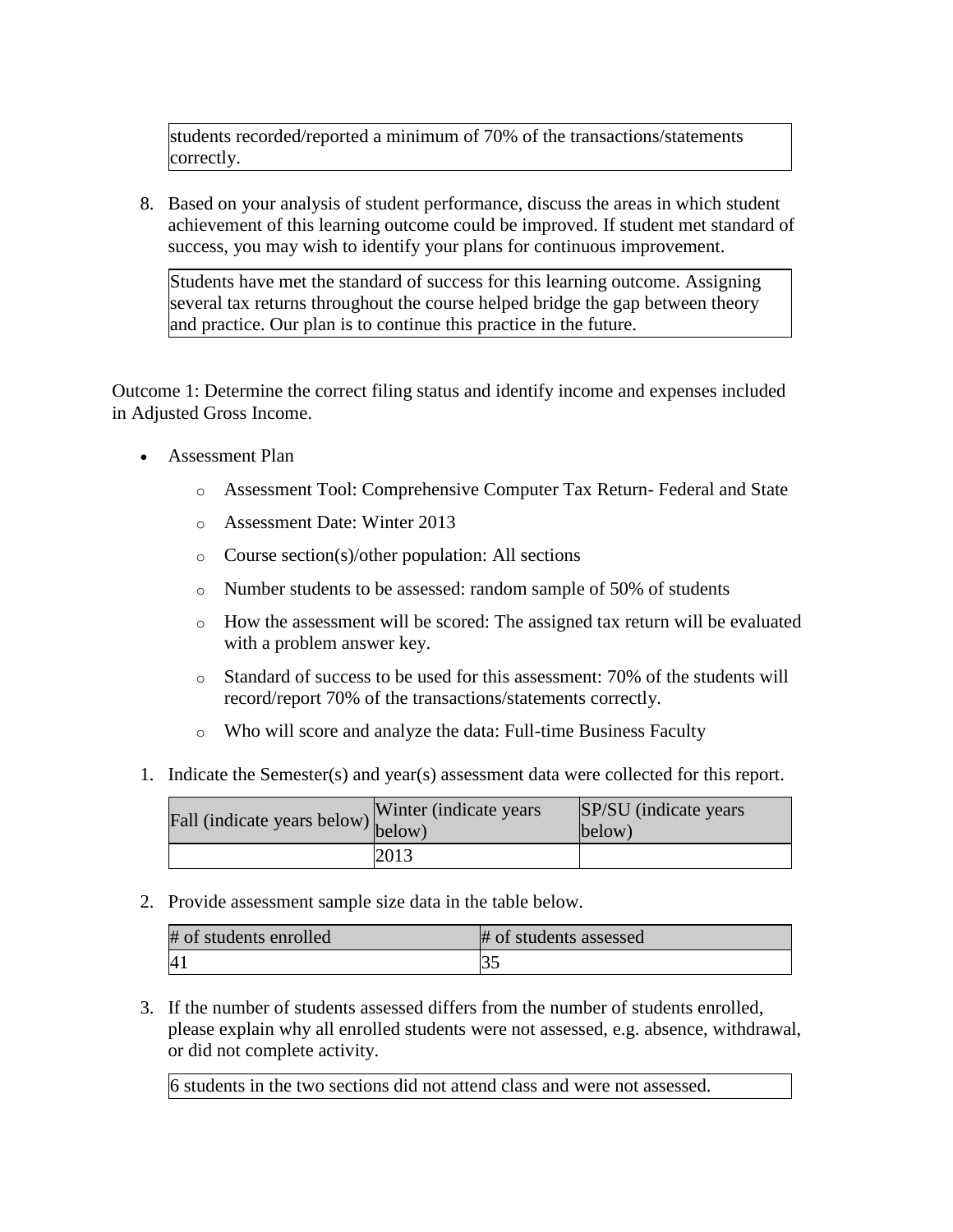students recorded/reported a minimum of 70% of the transactions/statements correctly.

8. Based on your analysis of student performance, discuss the areas in which student achievement of this learning outcome could be improved. If student met standard of success, you may wish to identify your plans for continuous improvement.

Students have met the standard of success for this learning outcome. Assigning several tax returns throughout the course helped bridge the gap between theory and practice. Our plan is to continue this practice in the future.

Outcome 1: Determine the correct filing status and identify income and expenses included in Adjusted Gross Income.

- Assessment Plan
	- o Assessment Tool: Comprehensive Computer Tax Return- Federal and State
	- o Assessment Date: Winter 2013
	- o Course section(s)/other population: All sections
	- o Number students to be assessed: random sample of 50% of students
	- o How the assessment will be scored: The assigned tax return will be evaluated with a problem answer key.
	- o Standard of success to be used for this assessment: 70% of the students will record/report 70% of the transactions/statements correctly.
	- o Who will score and analyze the data: Full-time Business Faculty
- 1. Indicate the Semester(s) and year(s) assessment data were collected for this report.

| Fall (indicate years below) below) | Winter (indicate years) | SP/SU (indicate years)<br>below) |
|------------------------------------|-------------------------|----------------------------------|
|                                    | 2013                    |                                  |

2. Provide assessment sample size data in the table below.

| # of students enrolled | # of students assessed |
|------------------------|------------------------|
| $\overline{A}$         |                        |

3. If the number of students assessed differs from the number of students enrolled, please explain why all enrolled students were not assessed, e.g. absence, withdrawal, or did not complete activity.

6 students in the two sections did not attend class and were not assessed.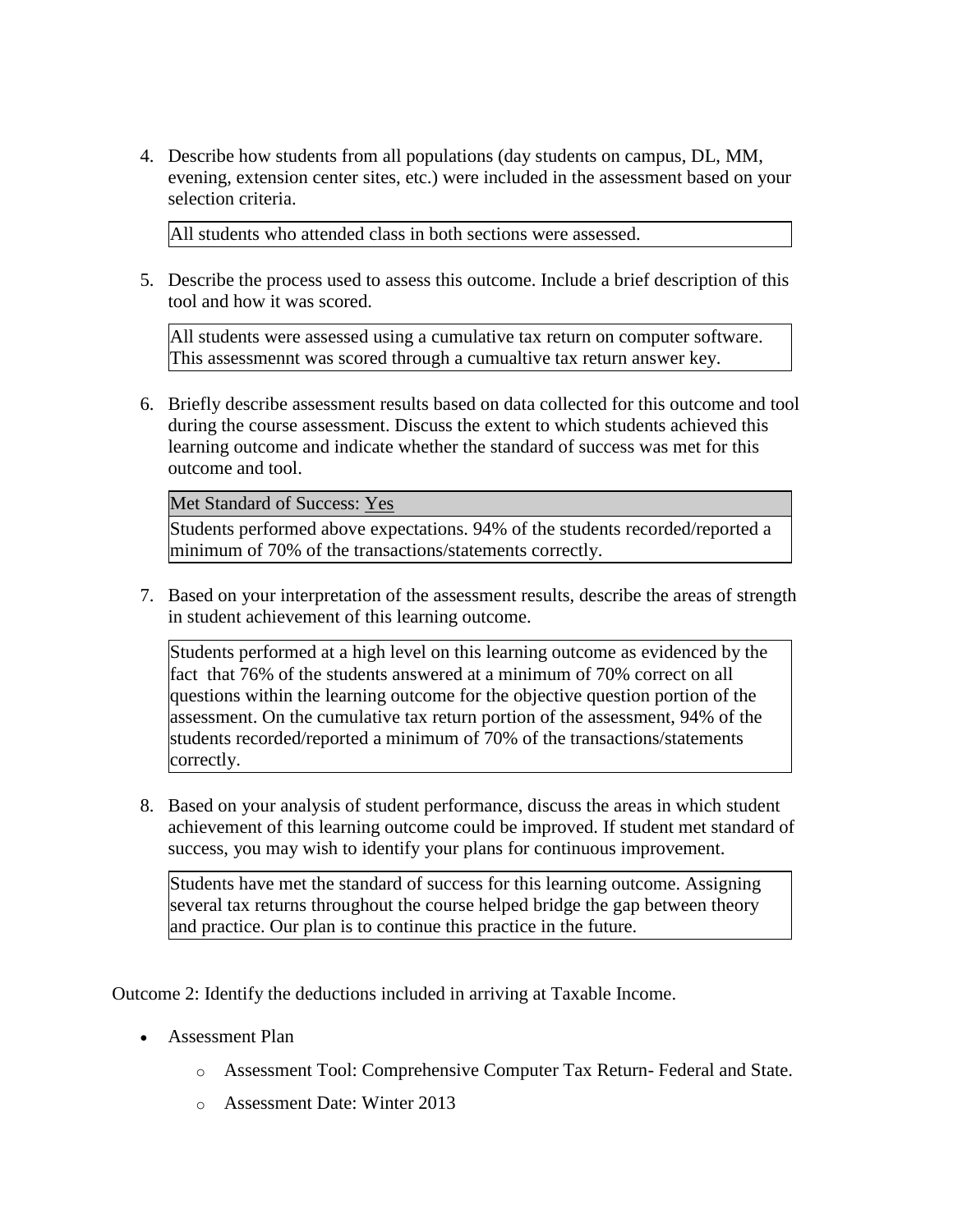4. Describe how students from all populations (day students on campus, DL, MM, evening, extension center sites, etc.) were included in the assessment based on your selection criteria.

All students who attended class in both sections were assessed.

5. Describe the process used to assess this outcome. Include a brief description of this tool and how it was scored.

All students were assessed using a cumulative tax return on computer software. This assessmennt was scored through a cumualtive tax return answer key.

6. Briefly describe assessment results based on data collected for this outcome and tool during the course assessment. Discuss the extent to which students achieved this learning outcome and indicate whether the standard of success was met for this outcome and tool.

Met Standard of Success: Yes

Students performed above expectations. 94% of the students recorded/reported a minimum of 70% of the transactions/statements correctly.

7. Based on your interpretation of the assessment results, describe the areas of strength in student achievement of this learning outcome.

Students performed at a high level on this learning outcome as evidenced by the fact that 76% of the students answered at a minimum of 70% correct on all questions within the learning outcome for the objective question portion of the assessment. On the cumulative tax return portion of the assessment, 94% of the students recorded/reported a minimum of 70% of the transactions/statements correctly.

8. Based on your analysis of student performance, discuss the areas in which student achievement of this learning outcome could be improved. If student met standard of success, you may wish to identify your plans for continuous improvement.

Students have met the standard of success for this learning outcome. Assigning several tax returns throughout the course helped bridge the gap between theory and practice. Our plan is to continue this practice in the future.

Outcome 2: Identify the deductions included in arriving at Taxable Income.

- Assessment Plan
	- o Assessment Tool: Comprehensive Computer Tax Return- Federal and State.
	- o Assessment Date: Winter 2013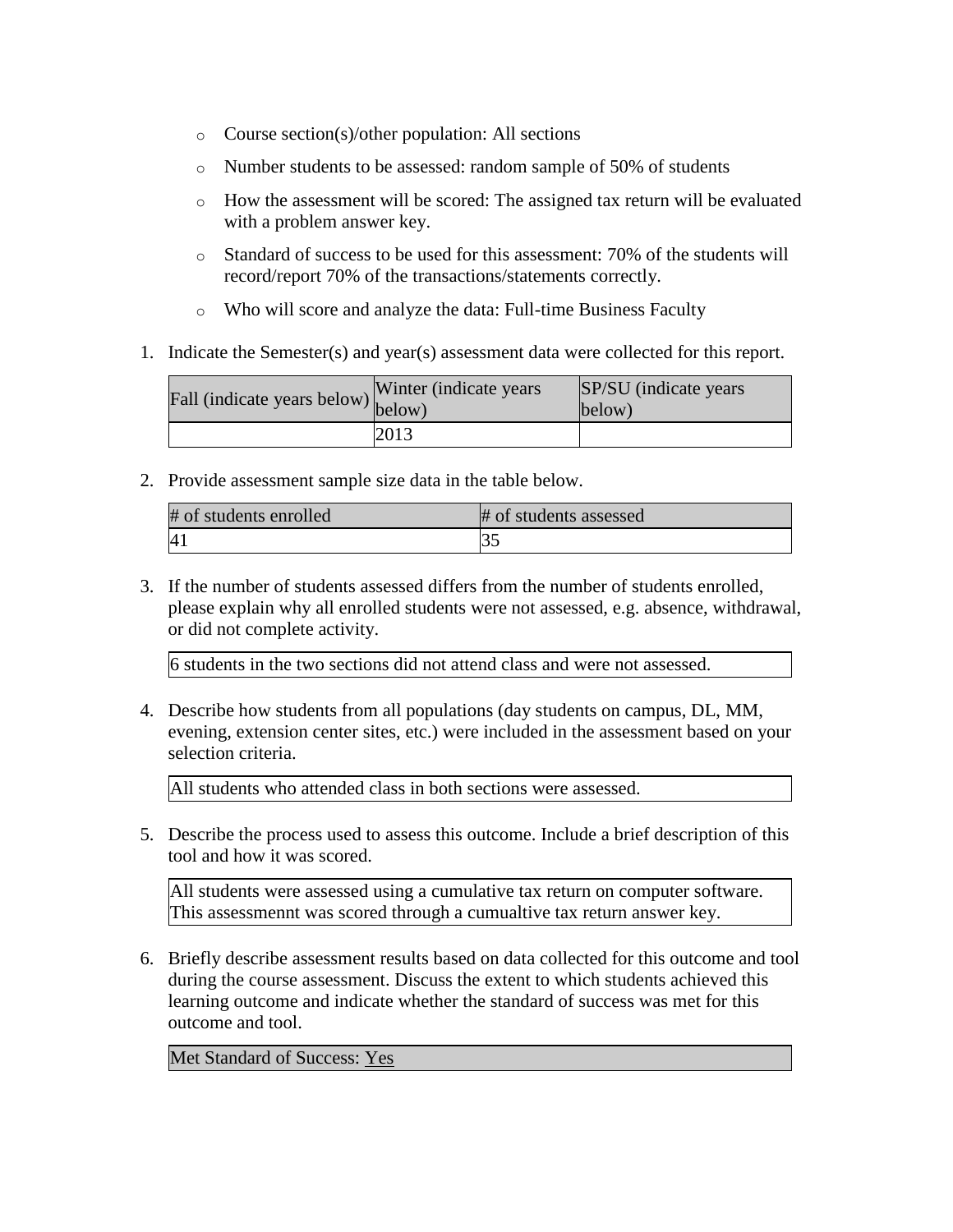- o Course section(s)/other population: All sections
- o Number students to be assessed: random sample of 50% of students
- $\circ$  How the assessment will be scored: The assigned tax return will be evaluated with a problem answer key.
- o Standard of success to be used for this assessment: 70% of the students will record/report 70% of the transactions/statements correctly.
- o Who will score and analyze the data: Full-time Business Faculty
- 1. Indicate the Semester(s) and year(s) assessment data were collected for this report.

| Fall (indicate years below) below) | Winter (indicate years) | SP/SU (indicate years)<br>below) |
|------------------------------------|-------------------------|----------------------------------|
|                                    | 2013                    |                                  |

| # of students enrolled | # of students assessed |
|------------------------|------------------------|
| $\overline{A}$         |                        |

3. If the number of students assessed differs from the number of students enrolled, please explain why all enrolled students were not assessed, e.g. absence, withdrawal, or did not complete activity.

6 students in the two sections did not attend class and were not assessed.

4. Describe how students from all populations (day students on campus, DL, MM, evening, extension center sites, etc.) were included in the assessment based on your selection criteria.

All students who attended class in both sections were assessed.

5. Describe the process used to assess this outcome. Include a brief description of this tool and how it was scored.

All students were assessed using a cumulative tax return on computer software. This assessmennt was scored through a cumualtive tax return answer key.

6. Briefly describe assessment results based on data collected for this outcome and tool during the course assessment. Discuss the extent to which students achieved this learning outcome and indicate whether the standard of success was met for this outcome and tool.

Met Standard of Success: Yes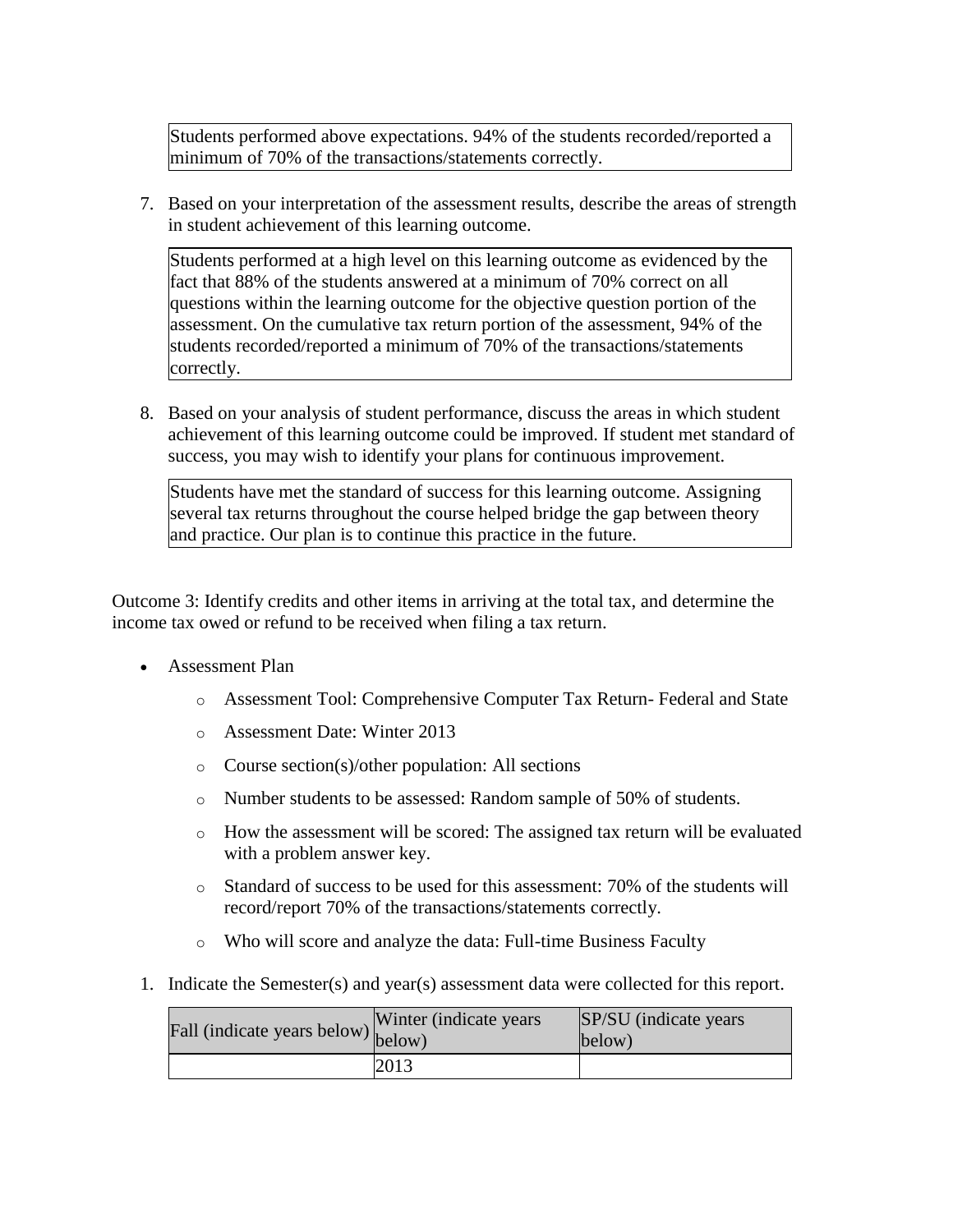Students performed above expectations. 94% of the students recorded/reported a minimum of 70% of the transactions/statements correctly.

7. Based on your interpretation of the assessment results, describe the areas of strength in student achievement of this learning outcome.

Students performed at a high level on this learning outcome as evidenced by the fact that 88% of the students answered at a minimum of 70% correct on all questions within the learning outcome for the objective question portion of the assessment. On the cumulative tax return portion of the assessment, 94% of the students recorded/reported a minimum of 70% of the transactions/statements correctly.

8. Based on your analysis of student performance, discuss the areas in which student achievement of this learning outcome could be improved. If student met standard of success, you may wish to identify your plans for continuous improvement.

Students have met the standard of success for this learning outcome. Assigning several tax returns throughout the course helped bridge the gap between theory and practice. Our plan is to continue this practice in the future.

Outcome 3: Identify credits and other items in arriving at the total tax, and determine the income tax owed or refund to be received when filing a tax return.

- Assessment Plan
	- o Assessment Tool: Comprehensive Computer Tax Return- Federal and State
	- o Assessment Date: Winter 2013
	- o Course section(s)/other population: All sections
	- o Number students to be assessed: Random sample of 50% of students.
	- o How the assessment will be scored: The assigned tax return will be evaluated with a problem answer key.
	- o Standard of success to be used for this assessment: 70% of the students will record/report 70% of the transactions/statements correctly.
	- o Who will score and analyze the data: Full-time Business Faculty
- 1. Indicate the Semester(s) and year(s) assessment data were collected for this report.

| rall (indicate years below) below) | Winter (indicate years) | SP/SU (indicate years)<br>below) |
|------------------------------------|-------------------------|----------------------------------|
|                                    | 2013                    |                                  |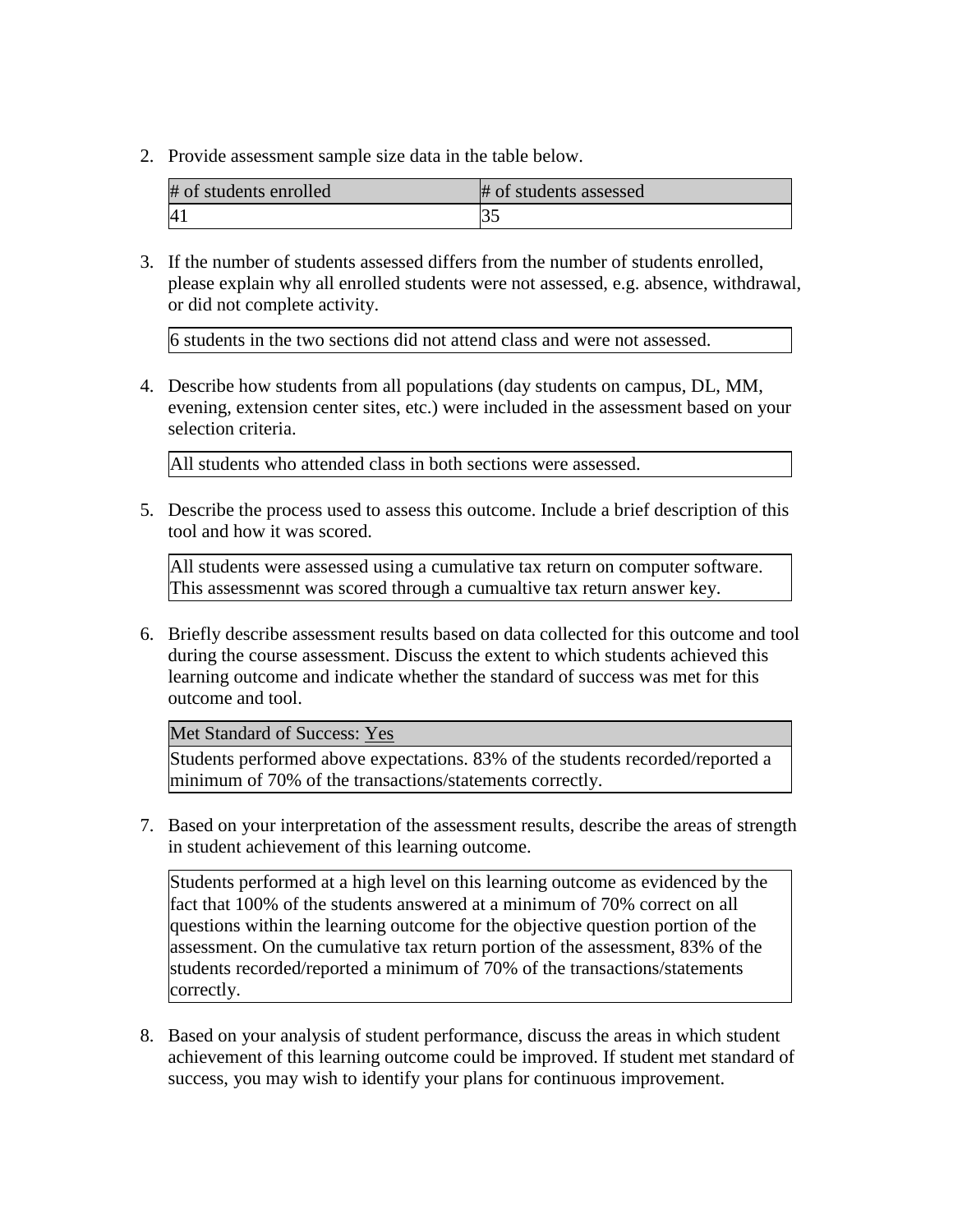| # of students enrolled | # of students assessed |
|------------------------|------------------------|
| 4 <sub>1</sub>         |                        |

3. If the number of students assessed differs from the number of students enrolled, please explain why all enrolled students were not assessed, e.g. absence, withdrawal, or did not complete activity.

6 students in the two sections did not attend class and were not assessed.

4. Describe how students from all populations (day students on campus, DL, MM, evening, extension center sites, etc.) were included in the assessment based on your selection criteria.

All students who attended class in both sections were assessed.

5. Describe the process used to assess this outcome. Include a brief description of this tool and how it was scored.

All students were assessed using a cumulative tax return on computer software. This assessmennt was scored through a cumualtive tax return answer key.

6. Briefly describe assessment results based on data collected for this outcome and tool during the course assessment. Discuss the extent to which students achieved this learning outcome and indicate whether the standard of success was met for this outcome and tool.

Met Standard of Success: Yes

Students performed above expectations. 83% of the students recorded/reported a minimum of 70% of the transactions/statements correctly.

7. Based on your interpretation of the assessment results, describe the areas of strength in student achievement of this learning outcome.

Students performed at a high level on this learning outcome as evidenced by the fact that 100% of the students answered at a minimum of 70% correct on all questions within the learning outcome for the objective question portion of the assessment. On the cumulative tax return portion of the assessment, 83% of the students recorded/reported a minimum of 70% of the transactions/statements correctly.

8. Based on your analysis of student performance, discuss the areas in which student achievement of this learning outcome could be improved. If student met standard of success, you may wish to identify your plans for continuous improvement.